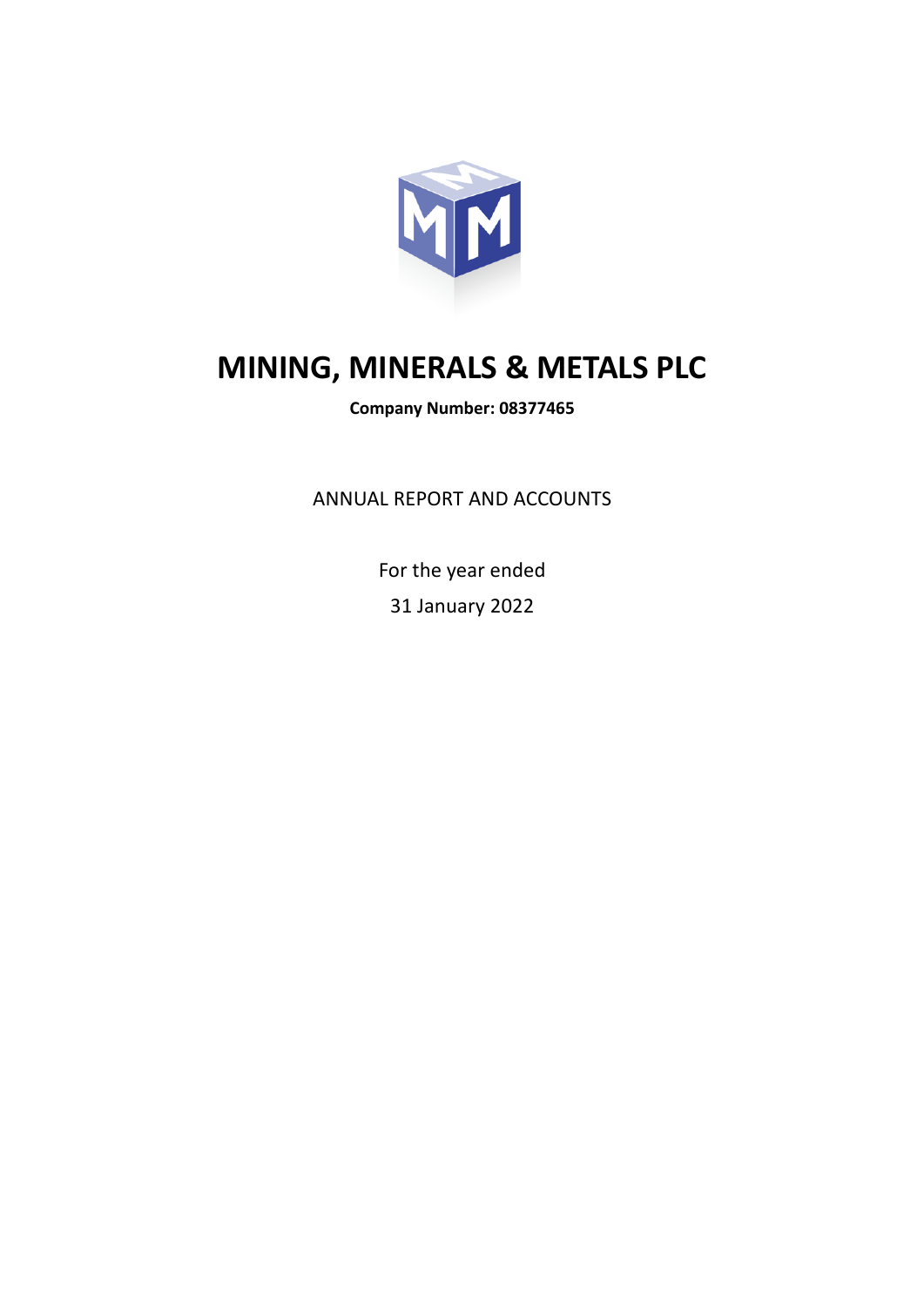

# **MINING, MINERALS & METALS PLC**

**Company Number: 08377465**

ANNUAL REPORT AND ACCOUNTS

For the year ended 31 January 2022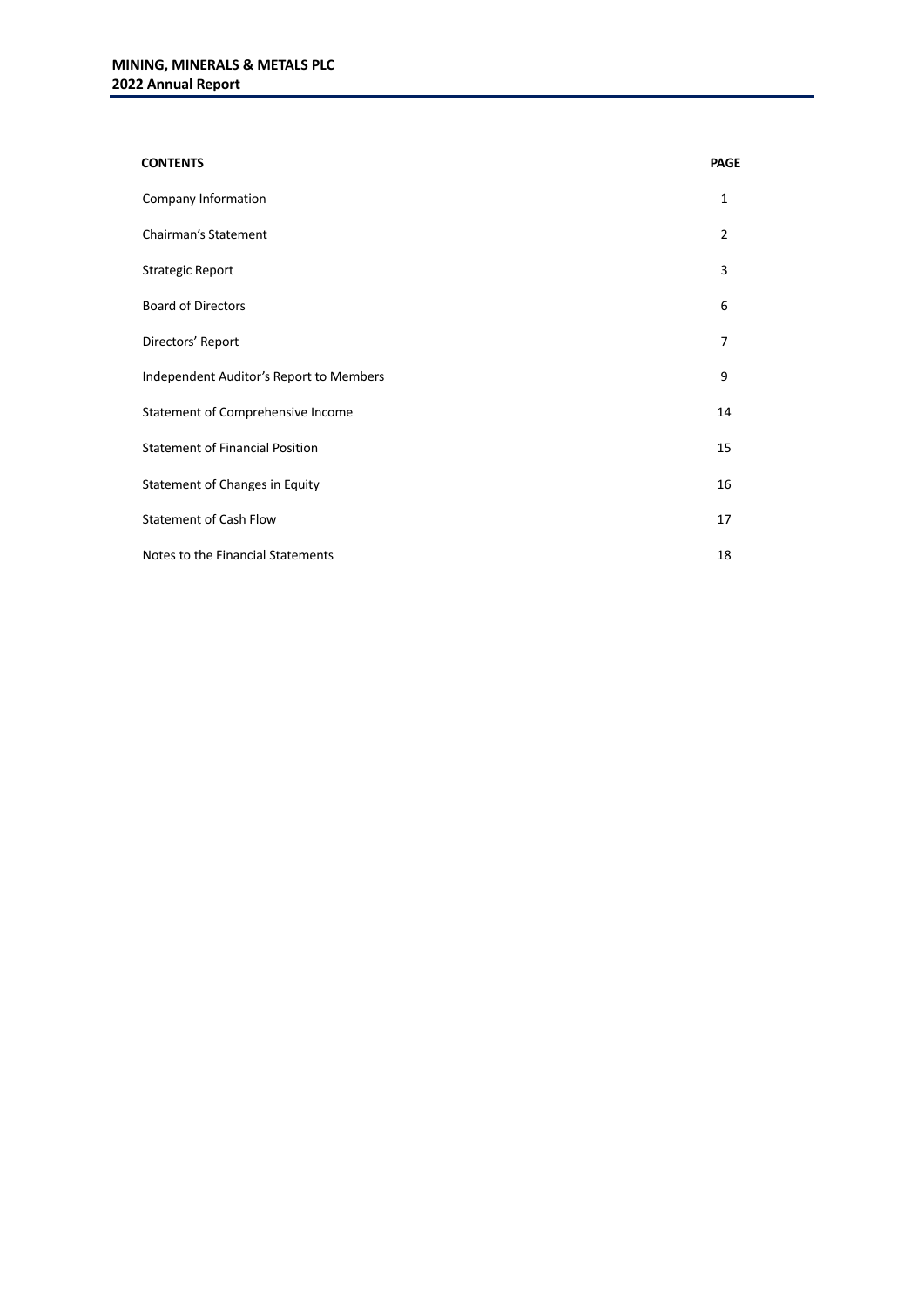| <b>CONTENTS</b>                         | <b>PAGE</b> |
|-----------------------------------------|-------------|
| Company Information                     | 1           |
| Chairman's Statement                    | 2           |
| <b>Strategic Report</b>                 | 3           |
| <b>Board of Directors</b>               | 6           |
| Directors' Report                       | 7           |
| Independent Auditor's Report to Members | 9           |
| Statement of Comprehensive Income       | 14          |
| <b>Statement of Financial Position</b>  | 15          |
| <b>Statement of Changes in Equity</b>   | 16          |
| <b>Statement of Cash Flow</b>           | 17          |
| Notes to the Financial Statements       | 18          |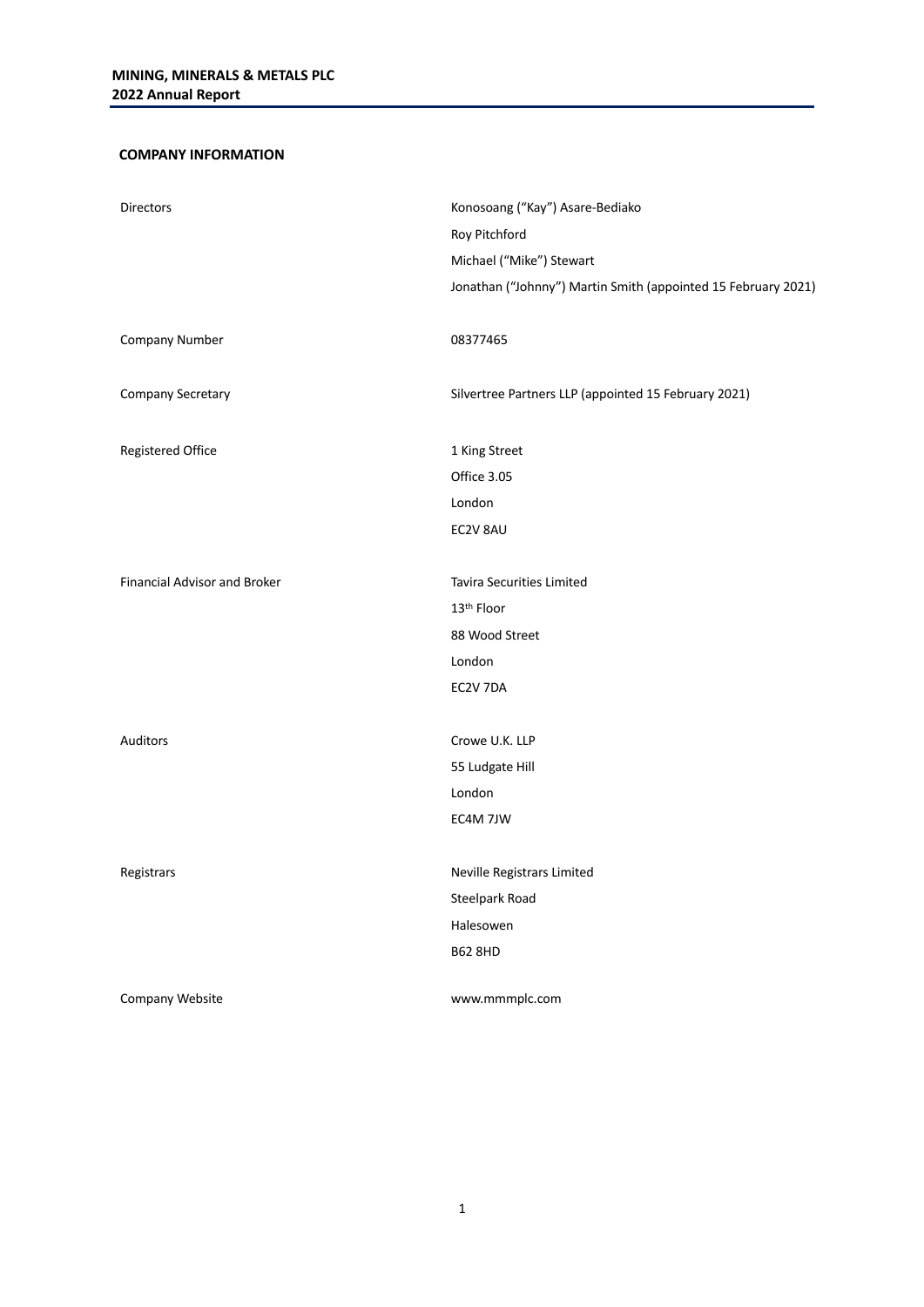# **COMPANY INFORMATION**

| <b>Directors</b>             | Konosoang ("Kay") Asare-Bediako<br>Roy Pitchford<br>Michael ("Mike") Stewart<br>Jonathan ("Johnny") Martin Smith (appointed 15 February 2021) |
|------------------------------|-----------------------------------------------------------------------------------------------------------------------------------------------|
| Company Number               | 08377465                                                                                                                                      |
| Company Secretary            | Silvertree Partners LLP (appointed 15 February 2021)                                                                                          |
| Registered Office            | 1 King Street<br>Office 3.05                                                                                                                  |
|                              | London<br>EC2V 8AU                                                                                                                            |
| Financial Advisor and Broker | Tavira Securities Limited<br>13th Floor<br>88 Wood Street<br>London<br>EC2V 7DA                                                               |
| Auditors                     | Crowe U.K. LLP<br>55 Ludgate Hill<br>London<br>EC4M 7JW                                                                                       |
| Registrars                   | Neville Registrars Limited<br><b>Steelpark Road</b><br>Halesowen<br><b>B62 8HD</b>                                                            |
| Company Website              | www.mmmplc.com                                                                                                                                |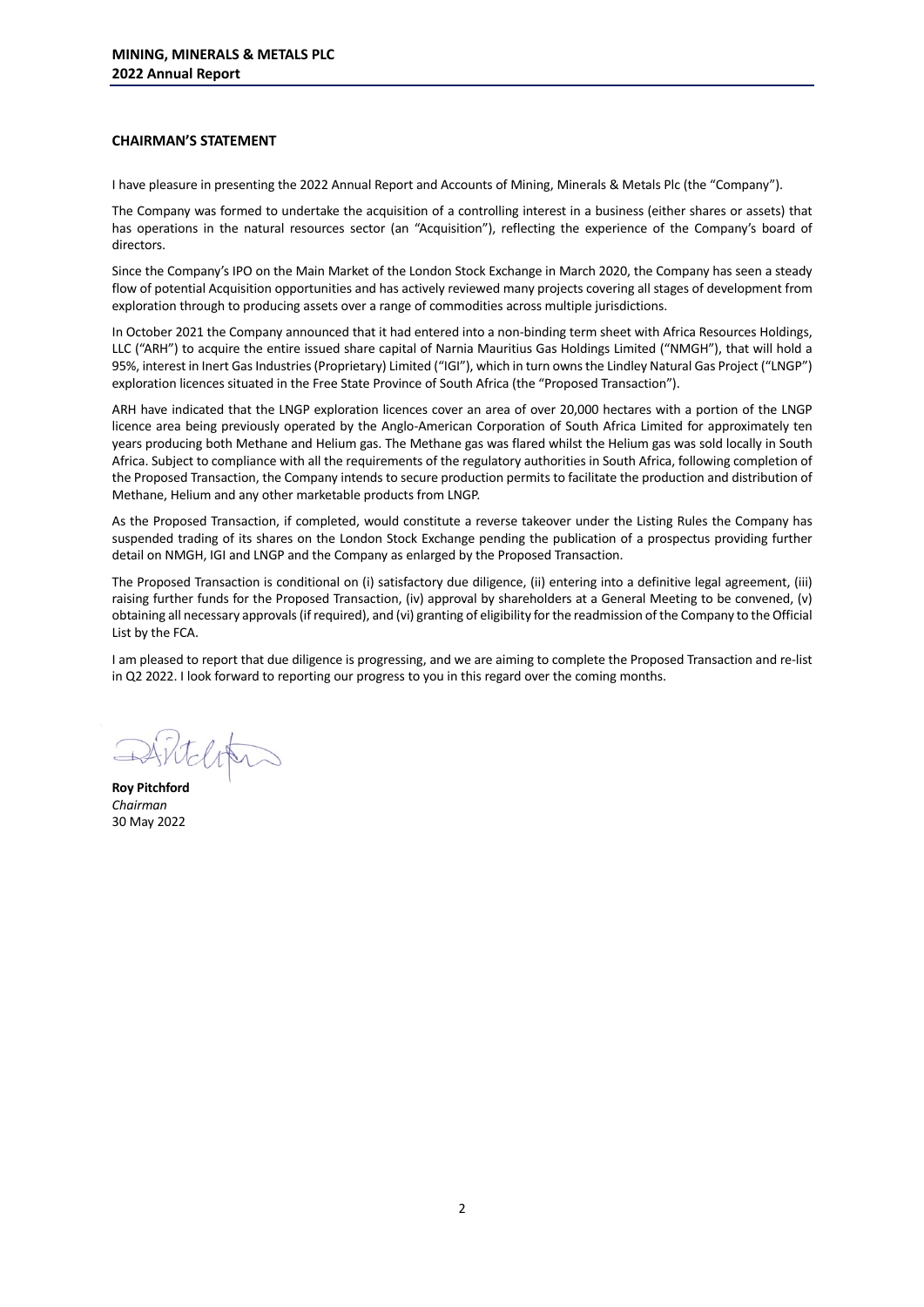# **CHAIRMAN'S STATEMENT**

I have pleasure in presenting the 2022 Annual Report and Accounts of Mining, Minerals & Metals Plc (the "Company").

The Company was formed to undertake the acquisition of a controlling interest in a business (either shares or assets) that has operations in the natural resources sector (an "Acquisition"), reflecting the experience of the Company's board of directors.

Since the Company's IPO on the Main Market of the London Stock Exchange in March 2020, the Company has seen a steady flow of potential Acquisition opportunities and has actively reviewed many projects covering all stages of development from exploration through to producing assets over a range of commodities across multiple jurisdictions.

In October 2021 the Company announced that it had entered into a non-binding term sheet with Africa Resources Holdings, LLC ("ARH") to acquire the entire issued share capital of Narnia Mauritius Gas Holdings Limited ("NMGH"), that will hold a 95%, interest in Inert Gas Industries (Proprietary) Limited ("IGI"), which in turn owns the Lindley Natural Gas Project ("LNGP") exploration licences situated in the Free State Province of South Africa (the "Proposed Transaction").

ARH have indicated that the LNGP exploration licences cover an area of over 20,000 hectares with a portion of the LNGP licence area being previously operated by the Anglo-American Corporation of South Africa Limited for approximately ten years producing both Methane and Helium gas. The Methane gas was flared whilst the Helium gas was sold locally in South Africa. Subject to compliance with all the requirements of the regulatory authorities in South Africa, following completion of the Proposed Transaction, the Company intends to secure production permits to facilitate the production and distribution of Methane, Helium and any other marketable products from LNGP.

As the Proposed Transaction, if completed, would constitute a reverse takeover under the Listing Rules the Company has suspended trading of its shares on the London Stock Exchange pending the publication of a prospectus providing further detail on NMGH, IGI and LNGP and the Company as enlarged by the Proposed Transaction.

The Proposed Transaction is conditional on (i) satisfactory due diligence, (ii) entering into a definitive legal agreement, (iii) raising further funds for the Proposed Transaction, (iv) approval by shareholders at a General Meeting to be convened, (v) obtaining all necessary approvals (if required), and (vi) granting of eligibility for the readmission of the Company to the Official List by the FCA.

I am pleased to report that due diligence is progressing, and we are aiming to complete the Proposed Transaction and re-list in Q2 2022. I look forward to reporting our progress to you in this regard over the coming months.

Pitchtr

**Roy Pitchford** *Chairman* 30 May 2022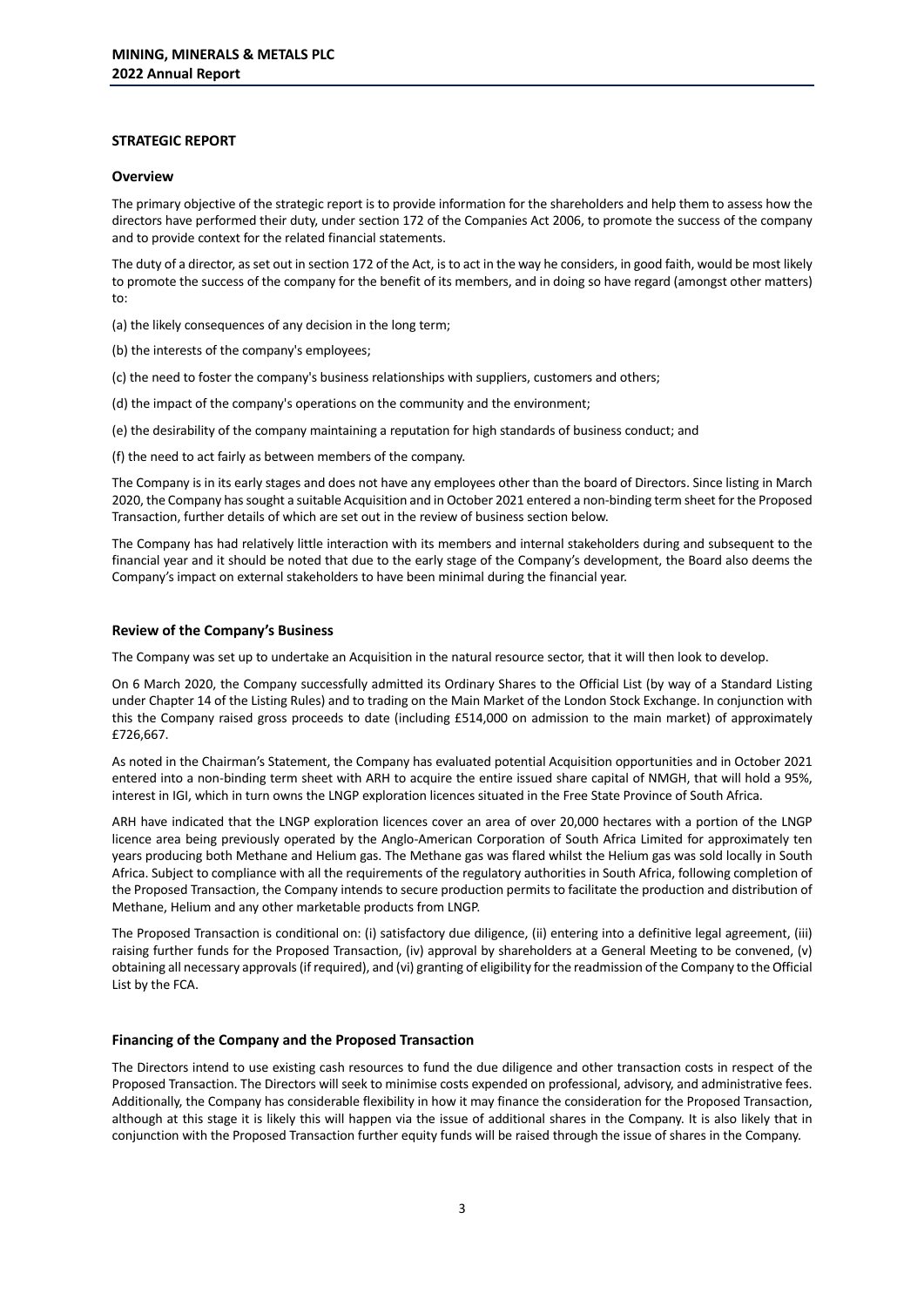# **STRATEGIC REPORT**

# **Overview**

The primary objective of the strategic report is to provide information for the shareholders and help them to assess how the directors have performed their duty, under section 172 of the Companies Act 2006, to promote the success of the company and to provide context for the related financial statements.

The duty of a director, as set out in section 172 of the Act, is to act in the way he considers, in good faith, would be most likely to promote the success of the company for the benefit of its members, and in doing so have regard (amongst other matters) to:

(a) the likely consequences of any decision in the long term;

(b) the interests of the company's employees;

(c) the need to foster the company's business relationships with suppliers, customers and others;

(d) the impact of the company's operations on the community and the environment;

(e) the desirability of the company maintaining a reputation for high standards of business conduct; and

(f) the need to act fairly as between members of the company.

The Company is in its early stages and does not have any employees other than the board of Directors. Since listing in March 2020, the Company has sought a suitable Acquisition and in October 2021 entered a non-binding term sheet for the Proposed Transaction, further details of which are set out in the review of business section below.

The Company has had relatively little interaction with its members and internal stakeholders during and subsequent to the financial year and it should be noted that due to the early stage of the Company's development, the Board also deems the Company's impact on external stakeholders to have been minimal during the financial year.

# **Review of the Company's Business**

The Company was set up to undertake an Acquisition in the natural resource sector, that it will then look to develop.

On 6 March 2020, the Company successfully admitted its Ordinary Shares to the Official List (by way of a Standard Listing under Chapter 14 of the Listing Rules) and to trading on the Main Market of the London Stock Exchange. In conjunction with this the Company raised gross proceeds to date (including £514,000 on admission to the main market) of approximately £726,667.

As noted in the Chairman's Statement, the Company has evaluated potential Acquisition opportunities and in October 2021 entered into a non-binding term sheet with ARH to acquire the entire issued share capital of NMGH, that will hold a 95%, interest in IGI, which in turn owns the LNGP exploration licences situated in the Free State Province of South Africa.

ARH have indicated that the LNGP exploration licences cover an area of over 20,000 hectares with a portion of the LNGP licence area being previously operated by the Anglo-American Corporation of South Africa Limited for approximately ten years producing both Methane and Helium gas. The Methane gas was flared whilst the Helium gas was sold locally in South Africa. Subject to compliance with all the requirements of the regulatory authorities in South Africa, following completion of the Proposed Transaction, the Company intends to secure production permits to facilitate the production and distribution of Methane, Helium and any other marketable products from LNGP.

The Proposed Transaction is conditional on: (i) satisfactory due diligence, (ii) entering into a definitive legal agreement, (iii) raising further funds for the Proposed Transaction, (iv) approval by shareholders at a General Meeting to be convened, (v) obtaining all necessary approvals (if required), and (vi) granting of eligibility for the readmission of the Company to the Official List by the FCA.

# **Financing of the Company and the Proposed Transaction**

The Directors intend to use existing cash resources to fund the due diligence and other transaction costs in respect of the Proposed Transaction. The Directors will seek to minimise costs expended on professional, advisory, and administrative fees. Additionally, the Company has considerable flexibility in how it may finance the consideration for the Proposed Transaction, although at this stage it is likely this will happen via the issue of additional shares in the Company. It is also likely that in conjunction with the Proposed Transaction further equity funds will be raised through the issue of shares in the Company.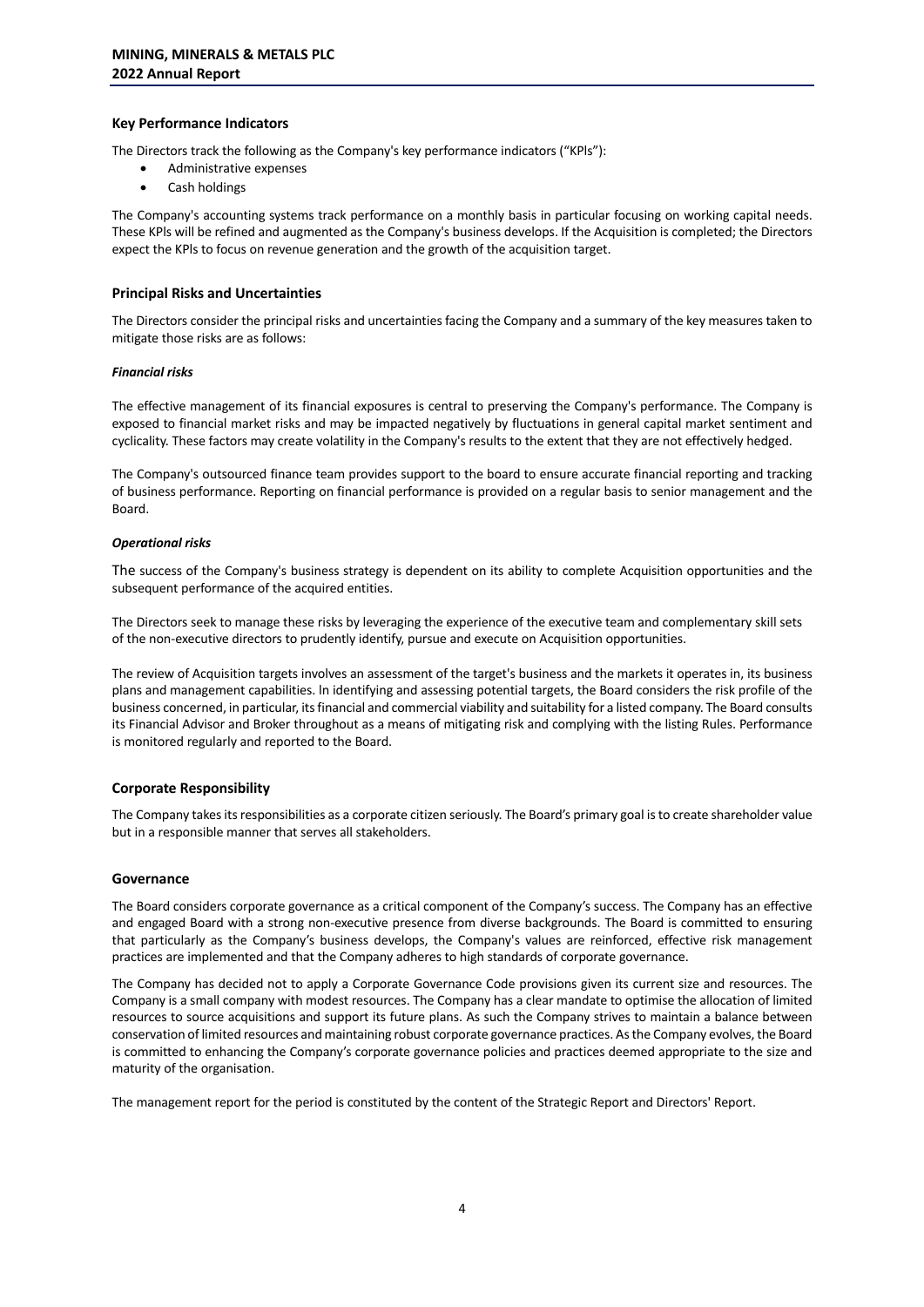# **Key Performance Indicators**

The Directors track the following as the Company's key performance indicators ("KPls"):

- Administrative expenses
- Cash holdings

The Company's accounting systems track performance on a monthly basis in particular focusing on working capital needs. These KPls will be refined and augmented as the Company's business develops. If the Acquisition is completed; the Directors expect the KPls to focus on revenue generation and the growth of the acquisition target.

# **Principal Risks and Uncertainties**

The Directors consider the principal risks and uncertainties facing the Company and a summary of the key measures taken to mitigate those risks are as follows:

### *Financial risks*

The effective management of its financial exposures is central to preserving the Company's performance. The Company is exposed to financial market risks and may be impacted negatively by fluctuations in general capital market sentiment and cyclicality. These factors may create volatility in the Company's results to the extent that they are not effectively hedged.

The Company's outsourced finance team provides support to the board to ensure accurate financial reporting and tracking of business performance. Reporting on financial performance is provided on a regular basis to senior management and the Board.

### *Operational risks*

The success of the Company's business strategy is dependent on its ability to complete Acquisition opportunities and the subsequent performance of the acquired entities.

The Directors seek to manage these risks by leveraging the experience of the executive team and complementary skill sets of the non-executive directors to prudently identify, pursue and execute on Acquisition opportunities.

The review of Acquisition targets involves an assessment of the target's business and the markets it operates in, its business plans and management capabilities. ln identifying and assessing potential targets, the Board considers the risk profile of the business concerned, in particular, its financial and commercial viability and suitability for a listed company. The Board consults its Financial Advisor and Broker throughout as a means of mitigating risk and complying with the listing Rules. Performance is monitored regularly and reported to the Board.

# **Corporate Responsibility**

The Company takes its responsibilities as a corporate citizen seriously. The Board's primary goal is to create shareholder value but in a responsible manner that serves all stakeholders.

#### **Governance**

The Board considers corporate governance as a critical component of the Company's success. The Company has an effective and engaged Board with a strong non-executive presence from diverse backgrounds. The Board is committed to ensuring that particularly as the Company's business develops, the Company's values are reinforced, effective risk management practices are implemented and that the Company adheres to high standards of corporate governance.

The Company has decided not to apply a Corporate Governance Code provisions given its current size and resources. The Company is a small company with modest resources. The Company has a clear mandate to optimise the allocation of limited resources to source acquisitions and support its future plans. As such the Company strives to maintain a balance between conservation of limited resources and maintaining robust corporate governance practices. As the Company evolves, the Board is committed to enhancing the Company's corporate governance policies and practices deemed appropriate to the size and maturity of the organisation.

The management report for the period is constituted by the content of the Strategic Report and Directors' Report.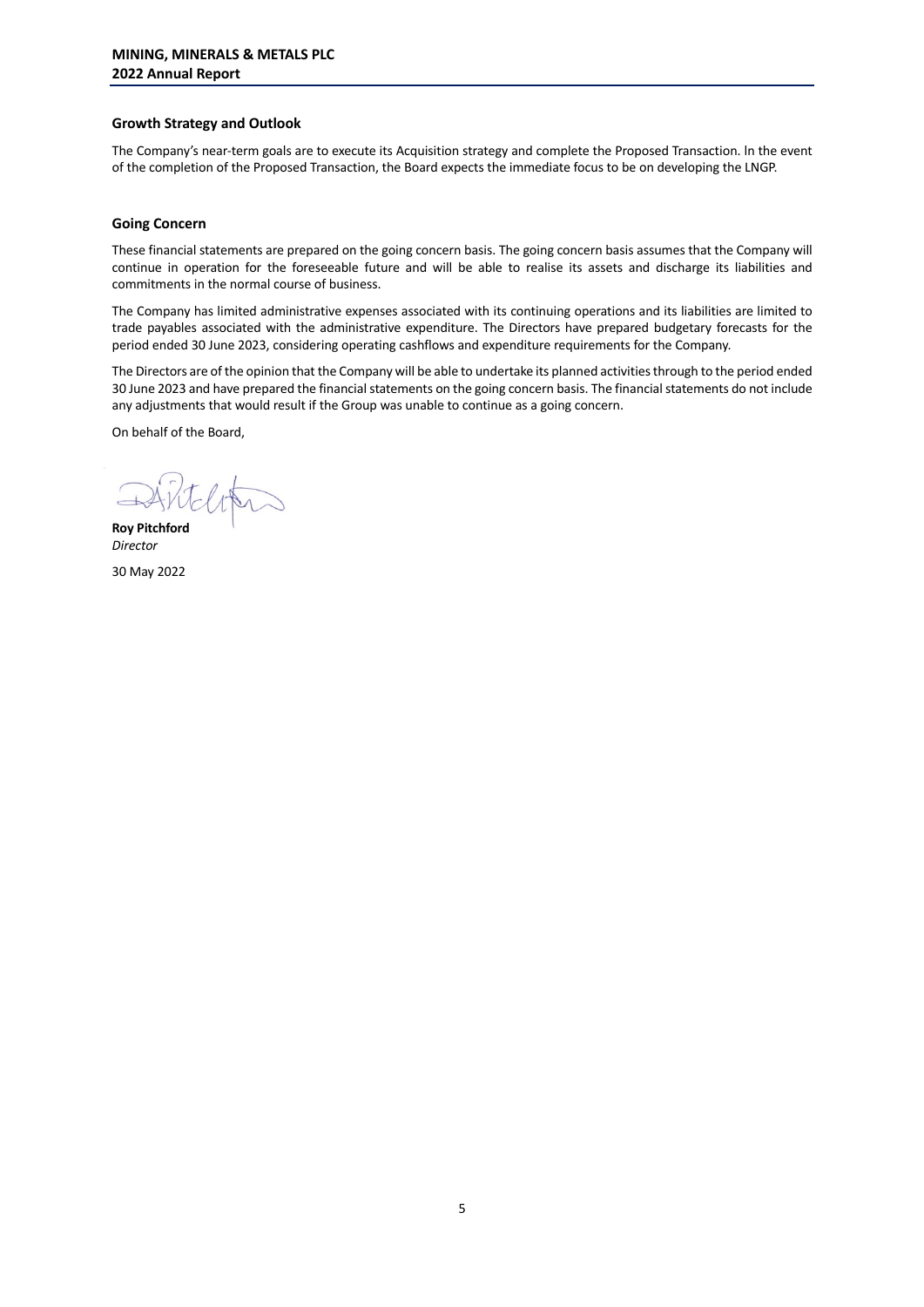# **Growth Strategy and Outlook**

The Company's near-term goals are to execute its Acquisition strategy and complete the Proposed Transaction. ln the event of the completion of the Proposed Transaction, the Board expects the immediate focus to be on developing the LNGP.

# **Going Concern**

These financial statements are prepared on the going concern basis. The going concern basis assumes that the Company will continue in operation for the foreseeable future and will be able to realise its assets and discharge its liabilities and commitments in the normal course of business.

The Company has limited administrative expenses associated with its continuing operations and its liabilities are limited to trade payables associated with the administrative expenditure. The Directors have prepared budgetary forecasts for the period ended 30 June 2023, considering operating cashflows and expenditure requirements for the Company.

The Directors are of the opinion that the Company will be able to undertake its planned activities through to the period ended 30 June 2023 and have prepared the financial statements on the going concern basis. The financial statements do not include any adjustments that would result if the Group was unable to continue as a going concern.

On behalf of the Board,

**Roy Pitchford** *Director* 30 May 2022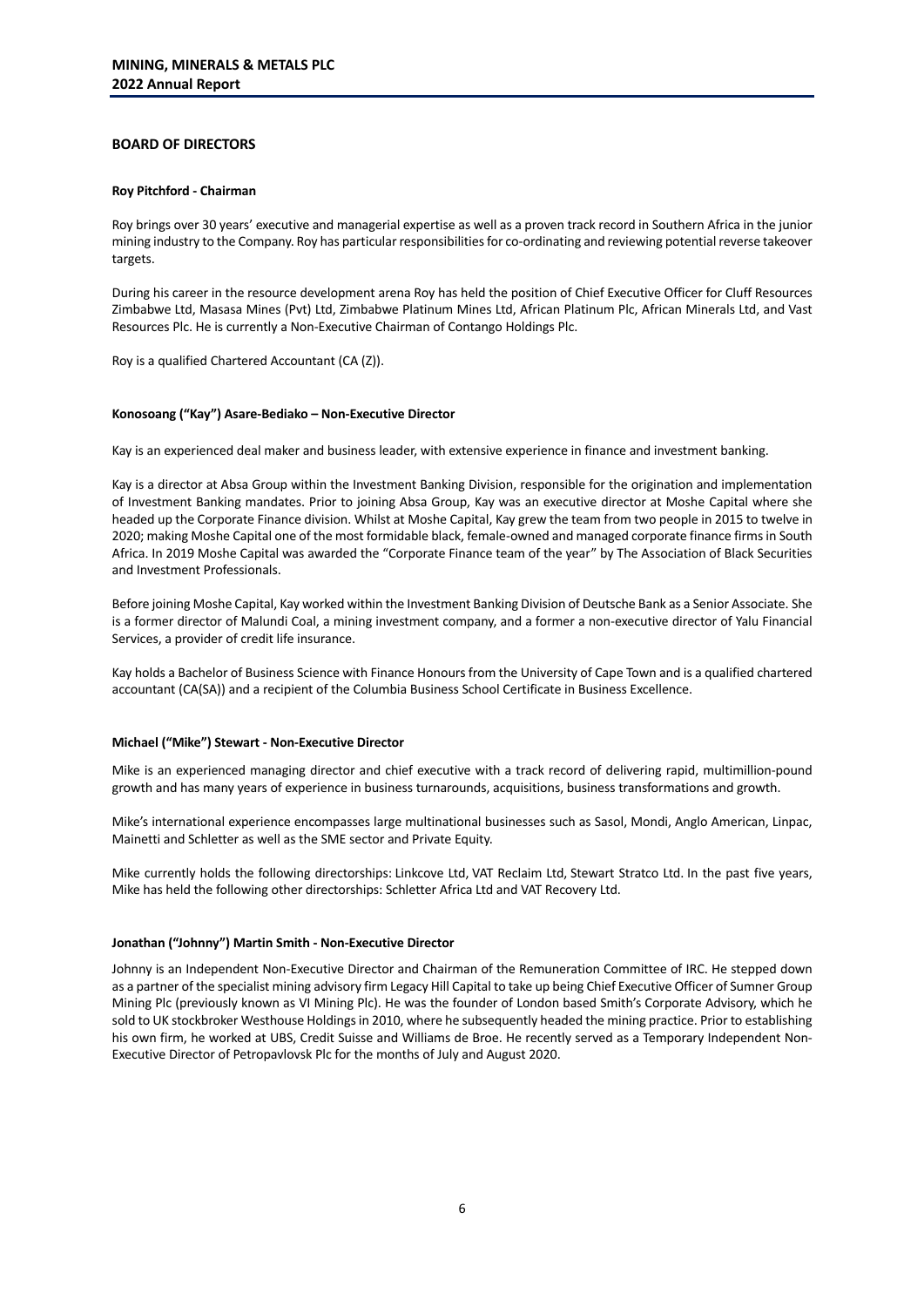# **BOARD OF DIRECTORS**

### **Roy Pitchford - Chairman**

Roy brings over 30 years' executive and managerial expertise as well as a proven track record in Southern Africa in the junior mining industry to the Company. Roy has particular responsibilities for co-ordinating and reviewing potential reverse takeover targets.

During his career in the resource development arena Roy has held the position of Chief Executive Officer for Cluff Resources Zimbabwe Ltd, Masasa Mines (Pvt) Ltd, Zimbabwe Platinum Mines Ltd, African Platinum Plc, African Minerals Ltd, and Vast Resources Plc. He is currently a Non-Executive Chairman of Contango Holdings Plc.

Roy is a qualified Chartered Accountant (CA (Z)).

### **Konosoang ("Kay") Asare-Bediako – Non-Executive Director**

Kay is an experienced deal maker and business leader, with extensive experience in finance and investment banking.

Kay is a director at Absa Group within the Investment Banking Division, responsible for the origination and implementation of Investment Banking mandates. Prior to joining Absa Group, Kay was an executive director at Moshe Capital where she headed up the Corporate Finance division. Whilst at Moshe Capital, Kay grew the team from two people in 2015 to twelve in 2020; making Moshe Capital one of the most formidable black, female-owned and managed corporate finance firms in South Africa. In 2019 Moshe Capital was awarded the "Corporate Finance team of the year" by The Association of Black Securities and Investment Professionals.

Before joining Moshe Capital, Kay worked within the Investment Banking Division of Deutsche Bank as a Senior Associate. She is a former director of Malundi Coal, a mining investment company, and a former a non-executive director of Yalu Financial Services, a provider of credit life insurance.

Kay holds a Bachelor of Business Science with Finance Honours from the University of Cape Town and is a qualified chartered accountant (CA(SA)) and a recipient of the Columbia Business School Certificate in Business Excellence.

# **Michael ("Mike") Stewart - Non-Executive Director**

Mike is an experienced managing director and chief executive with a track record of delivering rapid, multimillion-pound growth and has many years of experience in business turnarounds, acquisitions, business transformations and growth.

Mike's international experience encompasses large multinational businesses such as Sasol, Mondi, Anglo American, Linpac, Mainetti and Schletter as well as the SME sector and Private Equity.

Mike currently holds the following directorships: Linkcove Ltd, VAT Reclaim Ltd, Stewart Stratco Ltd. In the past five years, Mike has held the following other directorships: Schletter Africa Ltd and VAT Recovery Ltd.

# **Jonathan ("Johnny") Martin Smith - Non-Executive Director**

Johnny is an Independent Non-Executive Director and Chairman of the Remuneration Committee of IRC. He stepped down as a partner of the specialist mining advisory firm Legacy Hill Capital to take up being Chief Executive Officer of Sumner Group Mining Plc (previously known as VI Mining Plc). He was the founder of London based Smith's Corporate Advisory, which he sold to UK stockbroker Westhouse Holdings in 2010, where he subsequently headed the mining practice. Prior to establishing his own firm, he worked at UBS, Credit Suisse and Williams de Broe. He recently served as a Temporary Independent Non-Executive Director of Petropavlovsk Plc for the months of July and August 2020.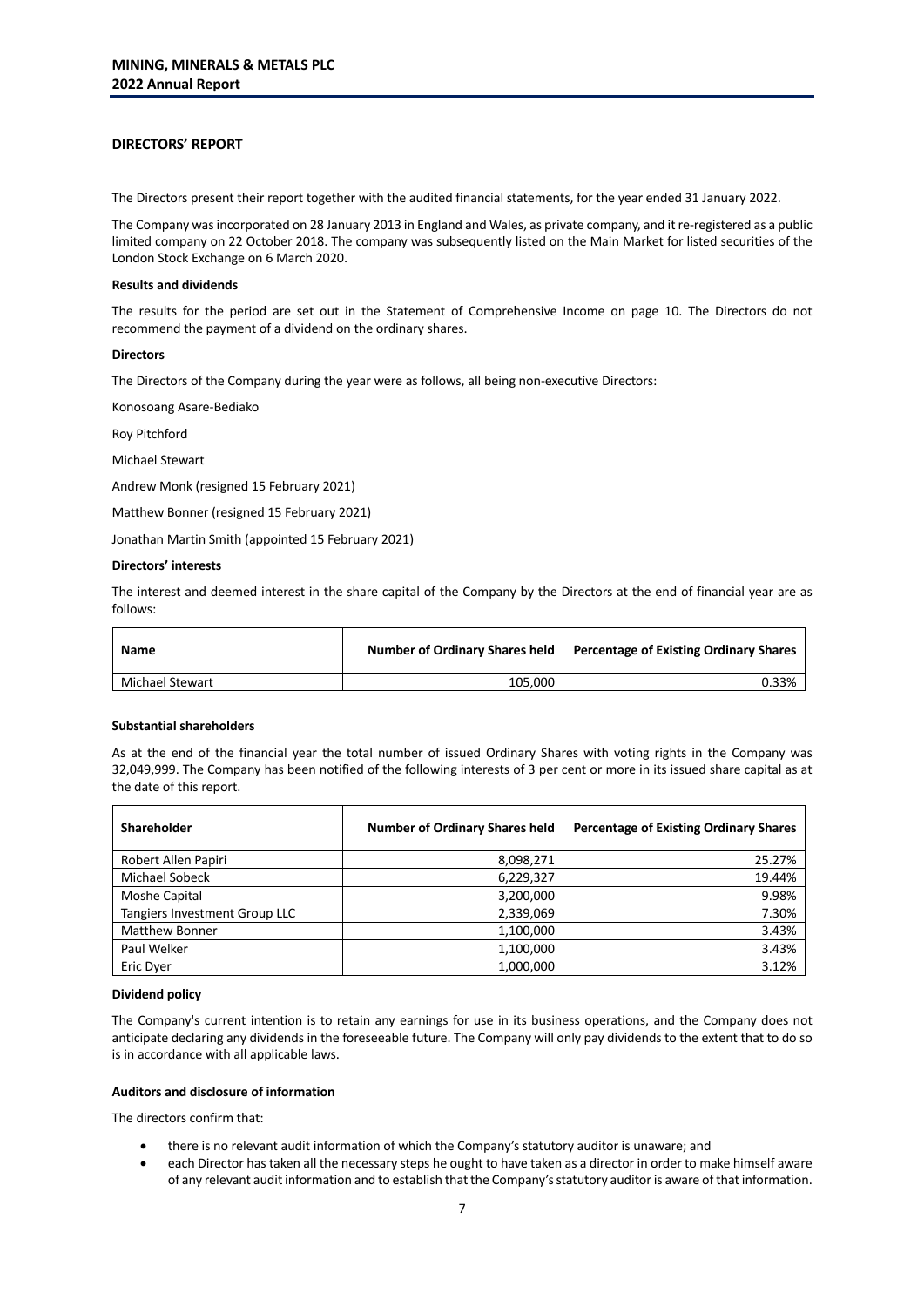# **DIRECTORS' REPORT**

The Directors present their report together with the audited financial statements, for the year ended 31 January 2022.

The Company was incorporated on 28 January 2013 in England and Wales, as private company, and it re-registered as a public limited company on 22 October 2018. The company was subsequently listed on the Main Market for listed securities of the London Stock Exchange on 6 March 2020.

#### **Results and dividends**

The results for the period are set out in the Statement of Comprehensive Income on page 10. The Directors do not recommend the payment of a dividend on the ordinary shares.

#### **Directors**

The Directors of the Company during the year were as follows, all being non-executive Directors:

Konosoang Asare-Bediako

Roy Pitchford

Michael Stewart

Andrew Monk (resigned 15 February 2021)

Matthew Bonner (resigned 15 February 2021)

Jonathan Martin Smith (appointed 15 February 2021)

#### **Directors' interests**

The interest and deemed interest in the share capital of the Company by the Directors at the end of financial year are as follows:

| <b>Name</b>     |         | Number of Ordinary Shares held   Percentage of Existing Ordinary Shares |
|-----------------|---------|-------------------------------------------------------------------------|
| Michael Stewart | 105.000 | 0.33%                                                                   |

#### **Substantial shareholders**

As at the end of the financial year the total number of issued Ordinary Shares with voting rights in the Company was 32,049,999. The Company has been notified of the following interests of 3 per cent or more in its issued share capital as at the date of this report.

| <b>Shareholder</b>            | <b>Number of Ordinary Shares held</b> | <b>Percentage of Existing Ordinary Shares</b> |
|-------------------------------|---------------------------------------|-----------------------------------------------|
| Robert Allen Papiri           | 8,098,271                             | 25.27%                                        |
| Michael Sobeck                | 6,229,327                             | 19.44%                                        |
| Moshe Capital                 | 3,200,000                             | 9.98%                                         |
| Tangiers Investment Group LLC | 2,339,069                             | 7.30%                                         |
| <b>Matthew Bonner</b>         | 1,100,000                             | 3.43%                                         |
| Paul Welker                   | 1,100,000                             | 3.43%                                         |
| Eric Dyer                     | 1,000,000                             | 3.12%                                         |

#### **Dividend policy**

The Company's current intention is to retain any earnings for use in its business operations, and the Company does not anticipate declaring any dividends in the foreseeable future. The Company will only pay dividends to the extent that to do so is in accordance with all applicable laws.

#### **Auditors and disclosure of information**

The directors confirm that:

- there is no relevant audit information of which the Company's statutory auditor is unaware; and
- each Director has taken all the necessary steps he ought to have taken as a director in order to make himself aware of any relevant audit information and to establish that the Company's statutory auditor is aware of that information.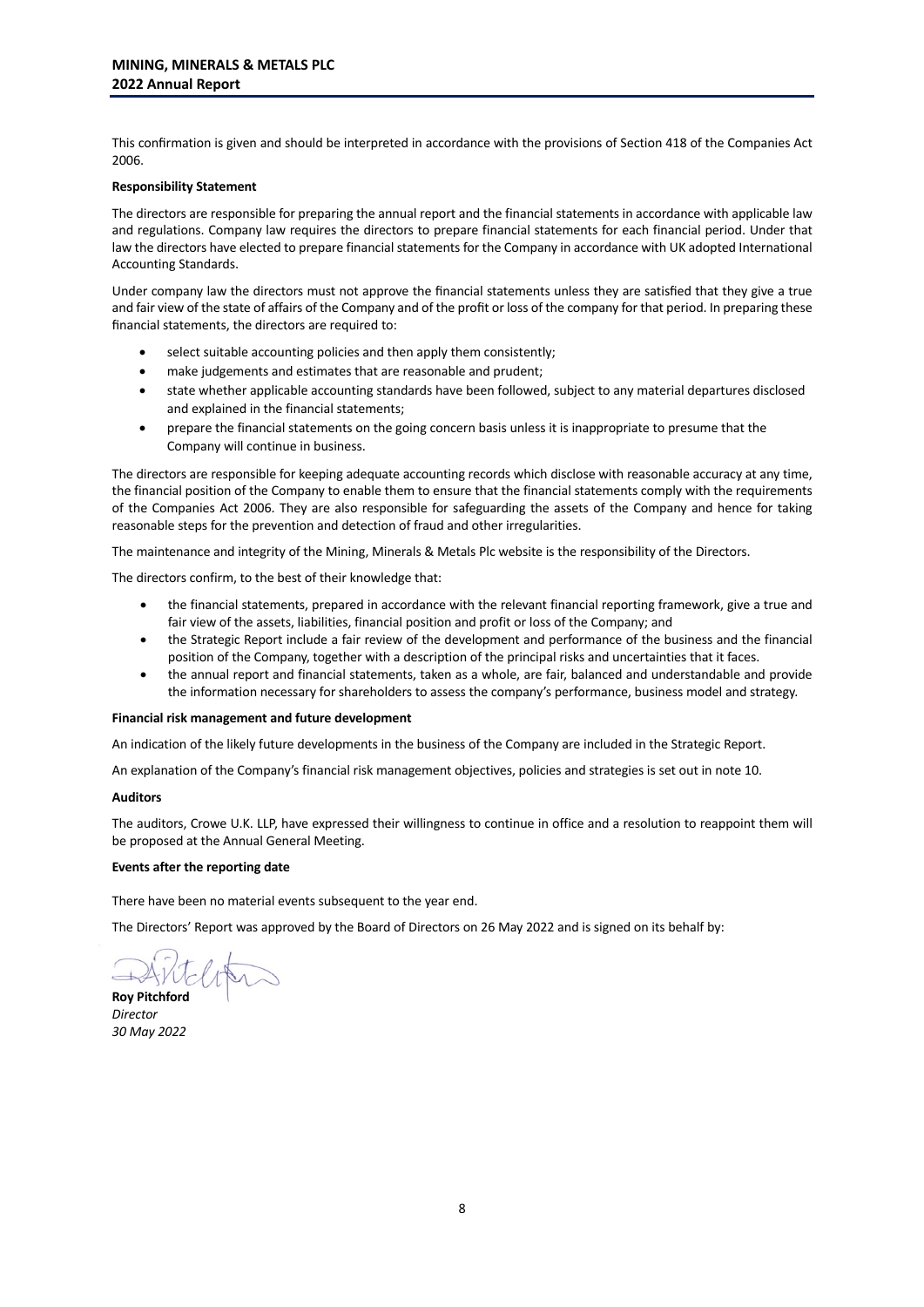This confirmation is given and should be interpreted in accordance with the provisions of Section 418 of the Companies Act 2006.

### **Responsibility Statement**

The directors are responsible for preparing the annual report and the financial statements in accordance with applicable law and regulations. Company law requires the directors to prepare financial statements for each financial period. Under that law the directors have elected to prepare financial statements for the Company in accordance with UK adopted International Accounting Standards.

Under company law the directors must not approve the financial statements unless they are satisfied that they give a true and fair view of the state of affairs of the Company and of the profit or loss of the company for that period. In preparing these financial statements, the directors are required to:

- select suitable accounting policies and then apply them consistently:
- make judgements and estimates that are reasonable and prudent;
- state whether applicable accounting standards have been followed, subject to any material departures disclosed and explained in the financial statements;
- prepare the financial statements on the going concern basis unless it is inappropriate to presume that the Company will continue in business.

The directors are responsible for keeping adequate accounting records which disclose with reasonable accuracy at any time, the financial position of the Company to enable them to ensure that the financial statements comply with the requirements of the Companies Act 2006. They are also responsible for safeguarding the assets of the Company and hence for taking reasonable steps for the prevention and detection of fraud and other irregularities.

The maintenance and integrity of the Mining, Minerals & Metals Plc website is the responsibility of the Directors.

The directors confirm, to the best of their knowledge that:

- the financial statements, prepared in accordance with the relevant financial reporting framework, give a true and fair view of the assets, liabilities, financial position and profit or loss of the Company; and
- the Strategic Report include a fair review of the development and performance of the business and the financial position of the Company, together with a description of the principal risks and uncertainties that it faces.
- the annual report and financial statements, taken as a whole, are fair, balanced and understandable and provide the information necessary for shareholders to assess the company's performance, business model and strategy.

#### **Financial risk management and future development**

An indication of the likely future developments in the business of the Company are included in the Strategic Report.

An explanation of the Company's financial risk management objectives, policies and strategies is set out in note 10.

#### **Auditors**

The auditors, Crowe U.K. LLP, have expressed their willingness to continue in office and a resolution to reappoint them will be proposed at the Annual General Meeting.

#### **Events after the reporting date**

There have been no material events subsequent to the year end.

The Directors' Report was approved by the Board of Directors on 26 May 2022 and is signed on its behalf by:

**Roy Pitchford**

*Director 30 May 2022*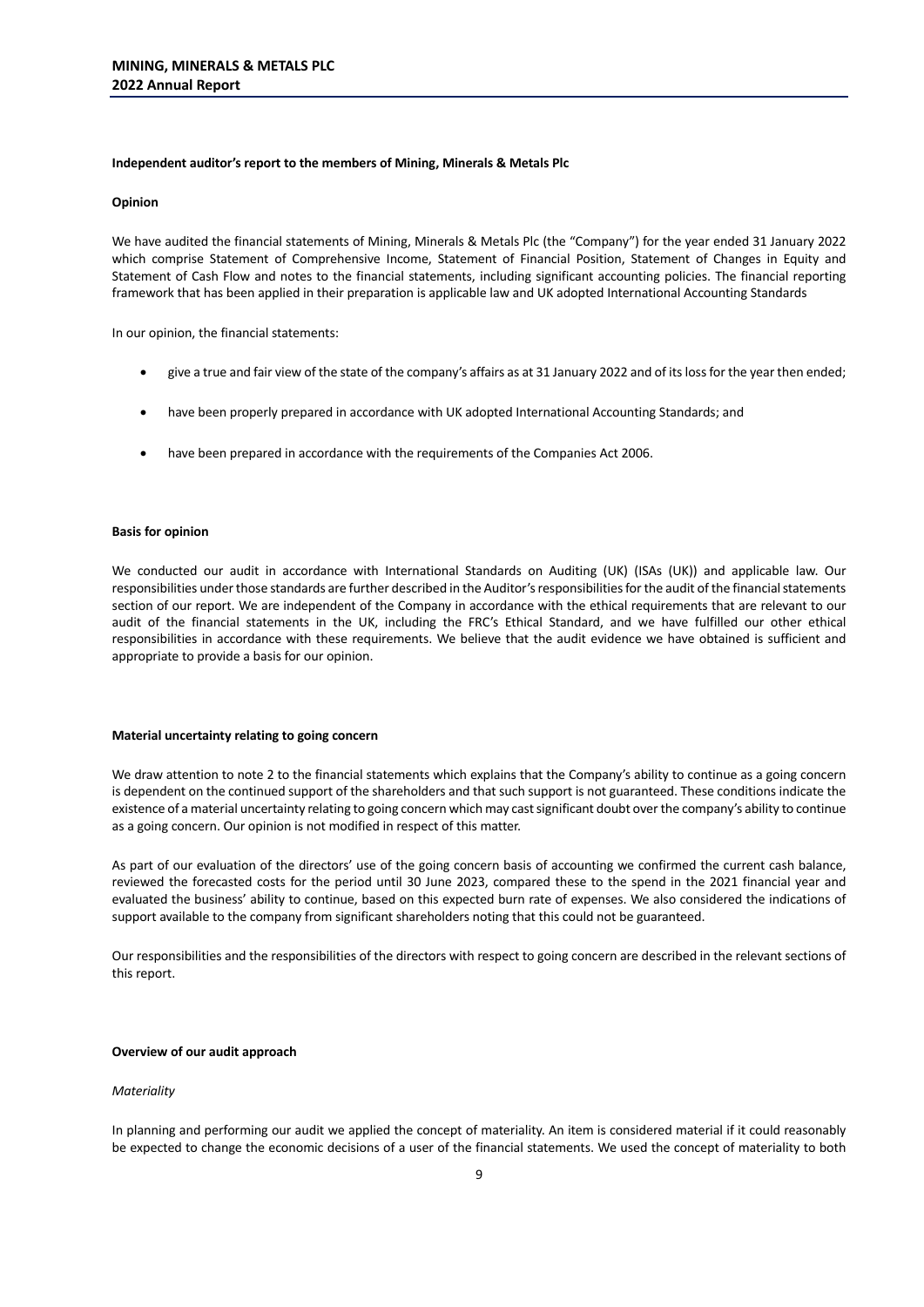#### **Independent auditor's report to the members of Mining, Minerals & Metals Plc**

#### **Opinion**

We have audited the financial statements of Mining, Minerals & Metals Plc (the "Company") for the year ended 31 January 2022 which comprise Statement of Comprehensive Income, Statement of Financial Position, Statement of Changes in Equity and Statement of Cash Flow and notes to the financial statements, including significant accounting policies. The financial reporting framework that has been applied in their preparation is applicable law and UK adopted International Accounting Standards

In our opinion, the financial statements:

- give a true and fair view of the state of the company's affairs as at 31 January 2022 and of its loss for the year then ended;
- have been properly prepared in accordance with UK adopted International Accounting Standards; and
- have been prepared in accordance with the requirements of the Companies Act 2006.

#### **Basis for opinion**

We conducted our audit in accordance with International Standards on Auditing (UK) (ISAs (UK)) and applicable law. Our responsibilities under those standards are further described in the Auditor's responsibilities for the audit of the financialstatements section of our report. We are independent of the Company in accordance with the ethical requirements that are relevant to our audit of the financial statements in the UK, including the FRC's Ethical Standard, and we have fulfilled our other ethical responsibilities in accordance with these requirements. We believe that the audit evidence we have obtained is sufficient and appropriate to provide a basis for our opinion.

#### **Material uncertainty relating to going concern**

We draw attention to note 2 to the financial statements which explains that the Company's ability to continue as a going concern is dependent on the continued support of the shareholders and that such support is not guaranteed. These conditions indicate the existence of a material uncertainty relating to going concern which may cast significant doubt over the company's ability to continue as a going concern. Our opinion is not modified in respect of this matter.

As part of our evaluation of the directors' use of the going concern basis of accounting we confirmed the current cash balance, reviewed the forecasted costs for the period until 30 June 2023, compared these to the spend in the 2021 financial year and evaluated the business' ability to continue, based on this expected burn rate of expenses. We also considered the indications of support available to the company from significant shareholders noting that this could not be guaranteed.

Our responsibilities and the responsibilities of the directors with respect to going concern are described in the relevant sections of this report.

#### **Overview of our audit approach**

#### *Materiality*

In planning and performing our audit we applied the concept of materiality. An item is considered material if it could reasonably be expected to change the economic decisions of a user of the financial statements. We used the concept of materiality to both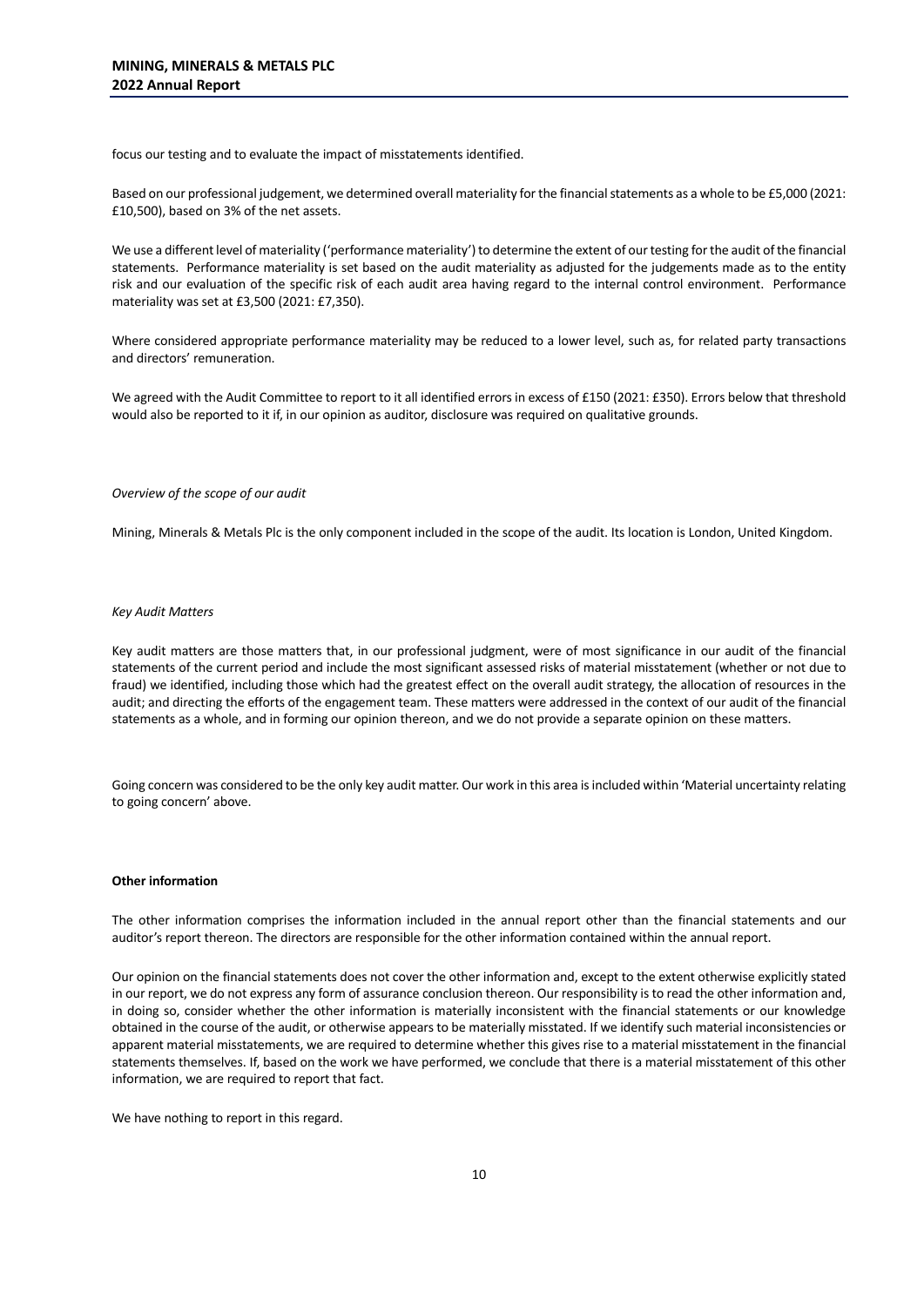focus our testing and to evaluate the impact of misstatements identified.

Based on our professional judgement, we determined overall materiality for the financial statements as a whole to be £5,000 (2021: £10,500), based on 3% of the net assets.

We use a different level of materiality ('performance materiality') to determine the extent of our testing for the audit of the financial statements. Performance materiality is set based on the audit materiality as adjusted for the judgements made as to the entity risk and our evaluation of the specific risk of each audit area having regard to the internal control environment. Performance materiality was set at £3,500 (2021: £7,350).

Where considered appropriate performance materiality may be reduced to a lower level, such as, for related party transactions and directors' remuneration.

We agreed with the Audit Committee to report to it all identified errors in excess of £150 (2021: £350). Errors below that threshold would also be reported to it if, in our opinion as auditor, disclosure was required on qualitative grounds.

#### *Overview of the scope of our audit*

Mining, Minerals & Metals Plc is the only component included in the scope of the audit. Its location is London, United Kingdom.

#### *Key Audit Matters*

Key audit matters are those matters that, in our professional judgment, were of most significance in our audit of the financial statements of the current period and include the most significant assessed risks of material misstatement (whether or not due to fraud) we identified, including those which had the greatest effect on the overall audit strategy, the allocation of resources in the audit; and directing the efforts of the engagement team. These matters were addressed in the context of our audit of the financial statements as a whole, and in forming our opinion thereon, and we do not provide a separate opinion on these matters.

Going concern was considered to be the only key audit matter. Our work in this area is included within 'Material uncertainty relating to going concern' above.

#### **Other information**

The other information comprises the information included in the annual report other than the financial statements and our auditor's report thereon. The directors are responsible for the other information contained within the annual report.

Our opinion on the financial statements does not cover the other information and, except to the extent otherwise explicitly stated in our report, we do not express any form of assurance conclusion thereon. Our responsibility is to read the other information and, in doing so, consider whether the other information is materially inconsistent with the financial statements or our knowledge obtained in the course of the audit, or otherwise appears to be materially misstated. If we identify such material inconsistencies or apparent material misstatements, we are required to determine whether this gives rise to a material misstatement in the financial statements themselves. If, based on the work we have performed, we conclude that there is a material misstatement of this other information, we are required to report that fact.

We have nothing to report in this regard.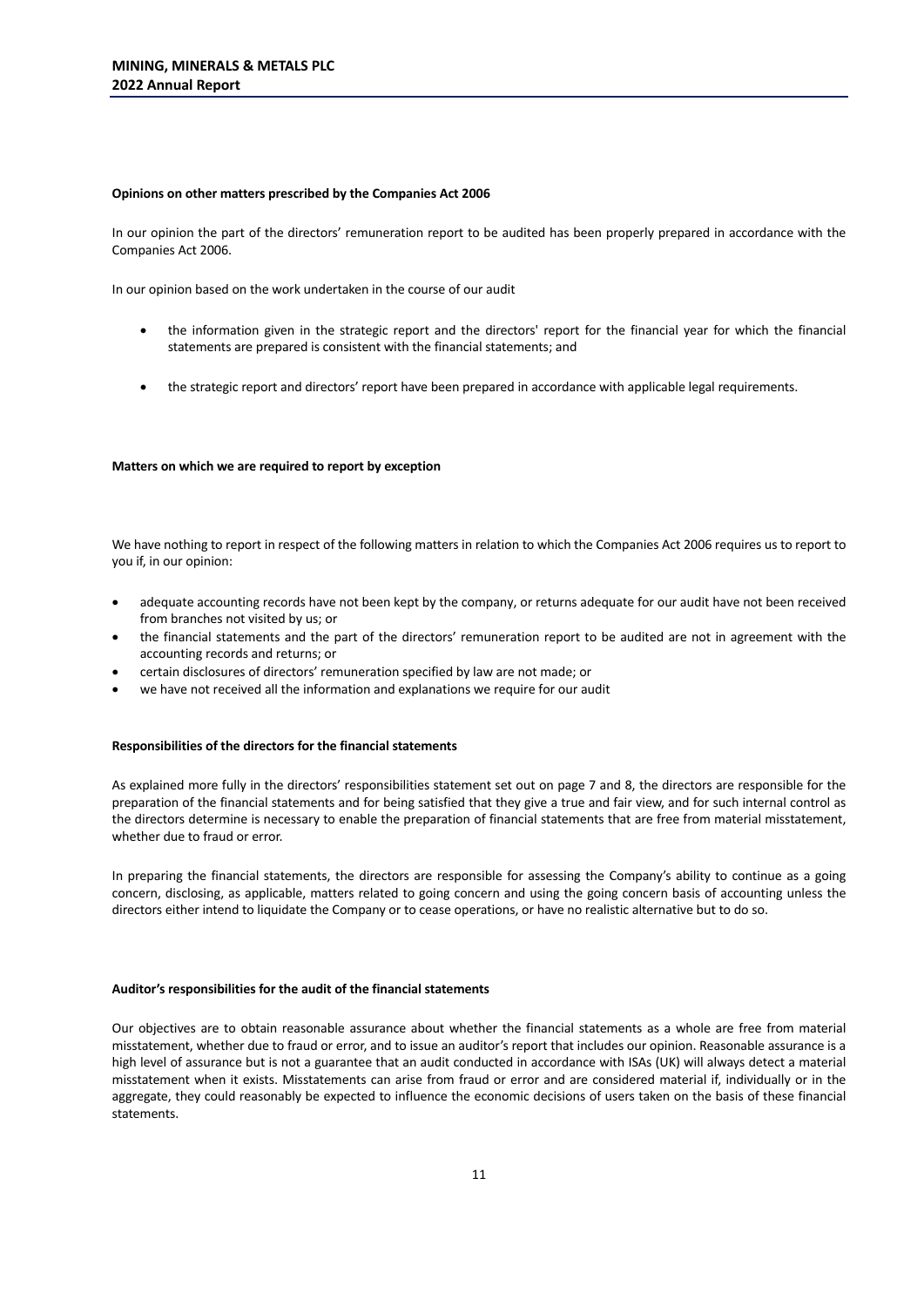#### **Opinions on other matters prescribed by the Companies Act 2006**

In our opinion the part of the directors' remuneration report to be audited has been properly prepared in accordance with the Companies Act 2006.

In our opinion based on the work undertaken in the course of our audit

- the information given in the strategic report and the directors' report for the financial year for which the financial statements are prepared is consistent with the financial statements; and
- the strategic report and directors' report have been prepared in accordance with applicable legal requirements.

### **Matters on which we are required to report by exception**

We have nothing to report in respect of the following matters in relation to which the Companies Act 2006 requires us to report to you if, in our opinion:

- adequate accounting records have not been kept by the company, or returns adequate for our audit have not been received from branches not visited by us; or
- the financial statements and the part of the directors' remuneration report to be audited are not in agreement with the accounting records and returns; or
- certain disclosures of directors' remuneration specified by law are not made; or
- we have not received all the information and explanations we require for our audit

#### **Responsibilities of the directors for the financial statements**

As explained more fully in the directors' responsibilities statement set out on page 7 and 8, the directors are responsible for the preparation of the financial statements and for being satisfied that they give a true and fair view, and for such internal control as the directors determine is necessary to enable the preparation of financial statements that are free from material misstatement, whether due to fraud or error.

In preparing the financial statements, the directors are responsible for assessing the Company's ability to continue as a going concern, disclosing, as applicable, matters related to going concern and using the going concern basis of accounting unless the directors either intend to liquidate the Company or to cease operations, or have no realistic alternative but to do so.

#### **Auditor's responsibilities for the audit of the financial statements**

Our objectives are to obtain reasonable assurance about whether the financial statements as a whole are free from material misstatement, whether due to fraud or error, and to issue an auditor's report that includes our opinion. Reasonable assurance is a high level of assurance but is not a guarantee that an audit conducted in accordance with ISAs (UK) will always detect a material misstatement when it exists. Misstatements can arise from fraud or error and are considered material if, individually or in the aggregate, they could reasonably be expected to influence the economic decisions of users taken on the basis of these financial statements.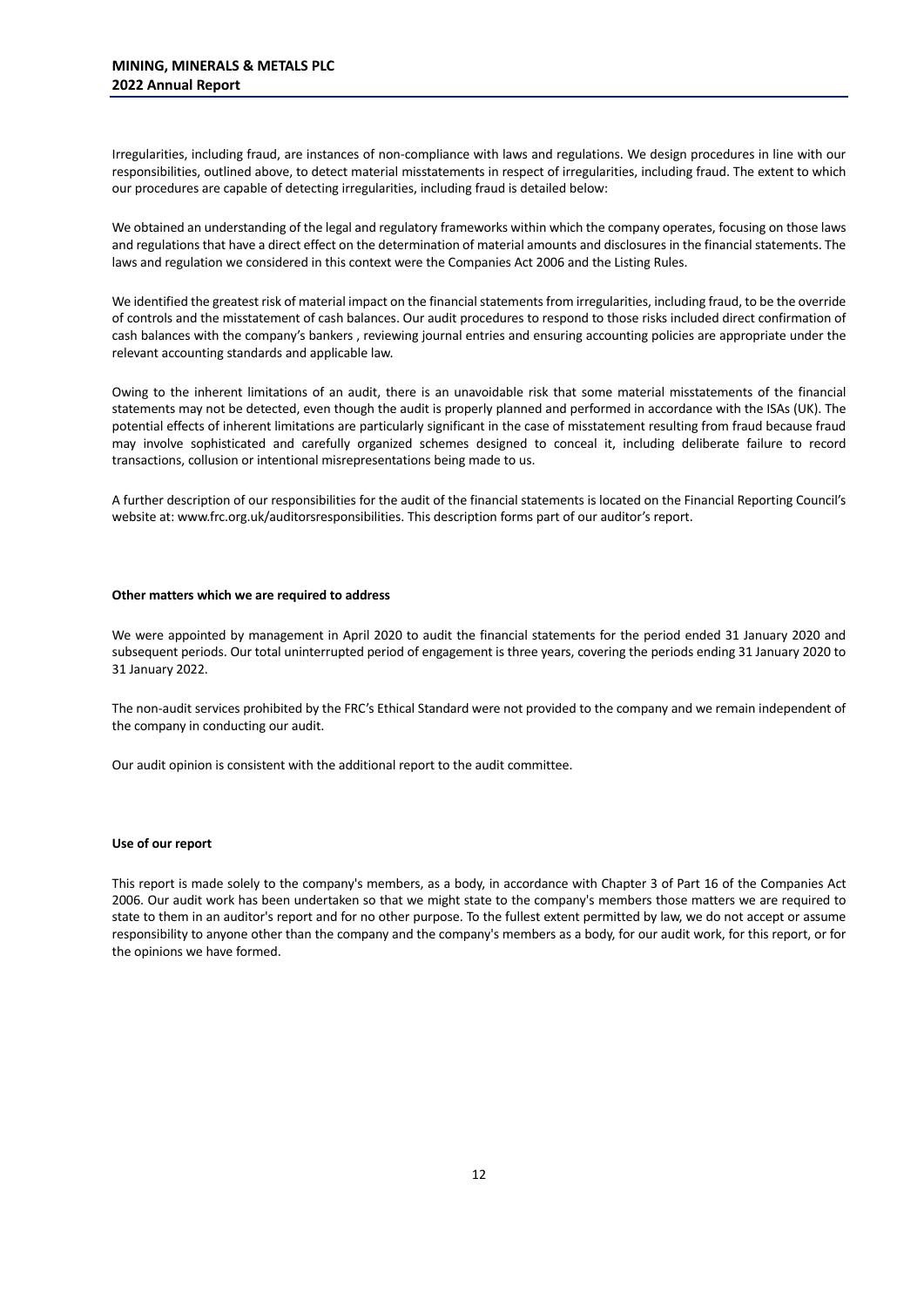Irregularities, including fraud, are instances of non-compliance with laws and regulations. We design procedures in line with our responsibilities, outlined above, to detect material misstatements in respect of irregularities, including fraud. The extent to which our procedures are capable of detecting irregularities, including fraud is detailed below:

We obtained an understanding of the legal and regulatory frameworks within which the company operates, focusing on those laws and regulations that have a direct effect on the determination of material amounts and disclosures in the financial statements. The laws and regulation we considered in this context were the Companies Act 2006 and the Listing Rules.

We identified the greatest risk of material impact on the financial statements from irregularities, including fraud, to be the override of controls and the misstatement of cash balances. Our audit procedures to respond to those risks included direct confirmation of cash balances with the company's bankers , reviewing journal entries and ensuring accounting policies are appropriate under the relevant accounting standards and applicable law.

Owing to the inherent limitations of an audit, there is an unavoidable risk that some material misstatements of the financial statements may not be detected, even though the audit is properly planned and performed in accordance with the ISAs (UK). The potential effects of inherent limitations are particularly significant in the case of misstatement resulting from fraud because fraud may involve sophisticated and carefully organized schemes designed to conceal it, including deliberate failure to record transactions, collusion or intentional misrepresentations being made to us.

A further description of our responsibilities for the audit of the financial statements is located on the Financial Reporting Council's website at: www.frc.org.uk/auditorsresponsibilities. This description forms part of our auditor's report.

#### **Other matters which we are required to address**

We were appointed by management in April 2020 to audit the financial statements for the period ended 31 January 2020 and subsequent periods. Our total uninterrupted period of engagement is three years, covering the periods ending 31 January 2020 to 31 January 2022.

The non-audit services prohibited by the FRC's Ethical Standard were not provided to the company and we remain independent of the company in conducting our audit.

Our audit opinion is consistent with the additional report to the audit committee.

#### **Use of our report**

This report is made solely to the company's members, as a body, in accordance with Chapter 3 of Part 16 of the Companies Act 2006. Our audit work has been undertaken so that we might state to the company's members those matters we are required to state to them in an auditor's report and for no other purpose. To the fullest extent permitted by law, we do not accept or assume responsibility to anyone other than the company and the company's members as a body, for our audit work, for this report, or for the opinions we have formed.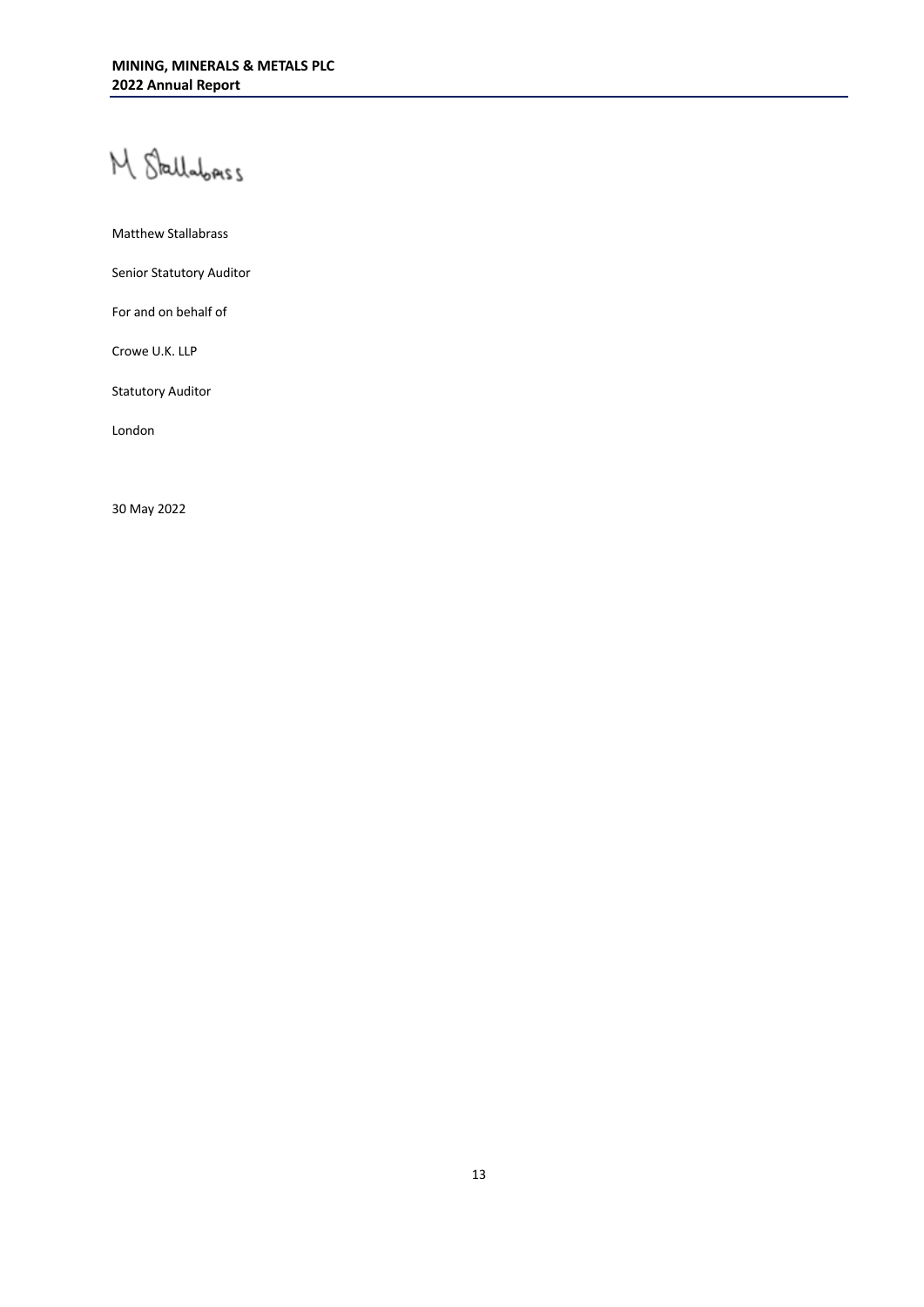M Stallaborss

Matthew Stallabrass

Senior Statutory Auditor

For and on behalf of

Crowe U.K. LLP

Statutory Auditor

London

30 May 2022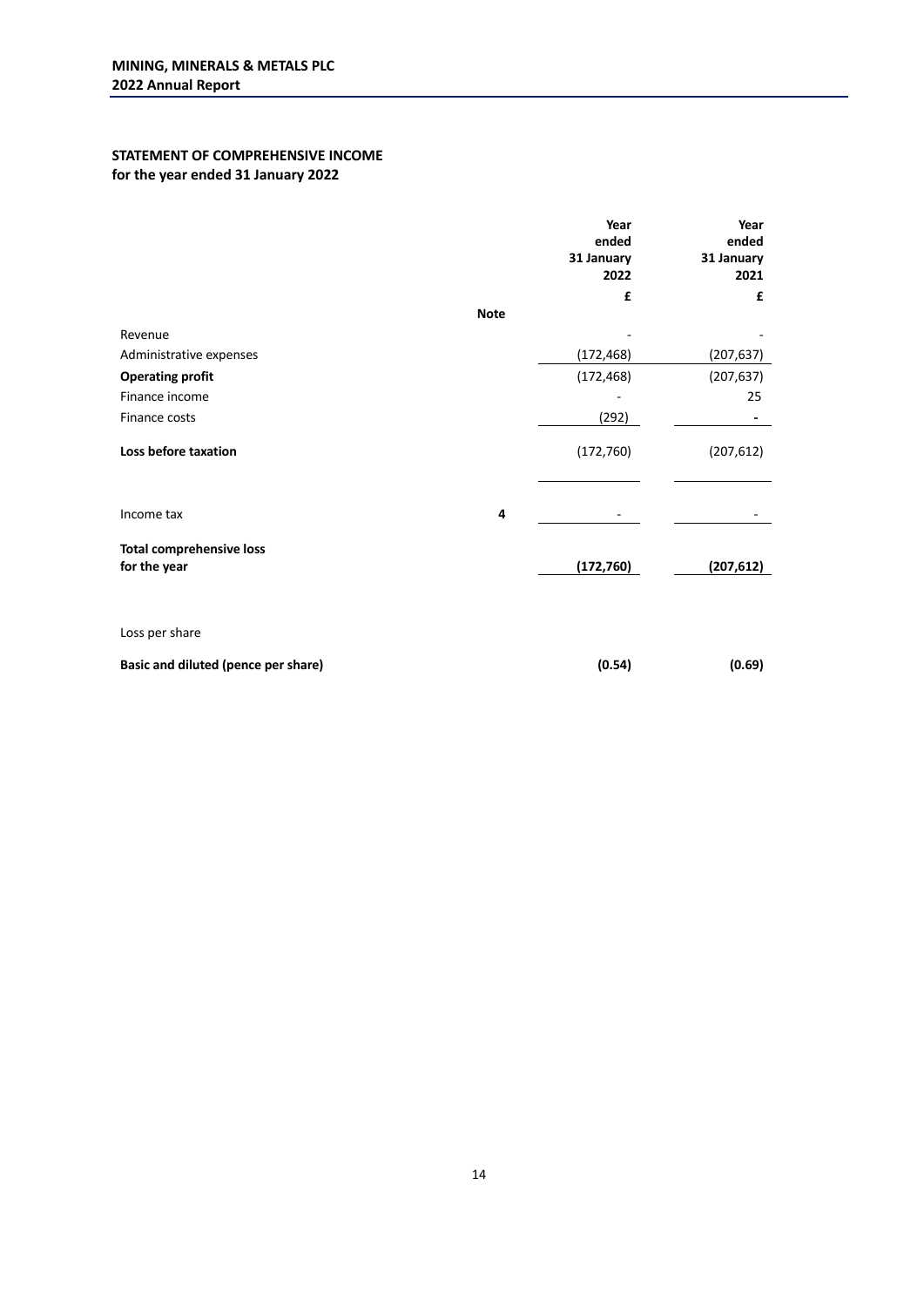# **STATEMENT OF COMPREHENSIVE INCOME for the year ended 31 January 2022**

|                                     |             | Year<br>ended<br>31 January<br>2022 | Year<br>ended<br>31 January<br>2021 |
|-------------------------------------|-------------|-------------------------------------|-------------------------------------|
|                                     |             | £                                   | £                                   |
|                                     | <b>Note</b> |                                     |                                     |
| Revenue                             |             |                                     |                                     |
| Administrative expenses             |             | (172, 468)                          | (207, 637)                          |
| <b>Operating profit</b>             |             | (172, 468)                          | (207, 637)                          |
| Finance income                      |             |                                     | 25                                  |
| Finance costs                       |             | (292)                               |                                     |
| Loss before taxation                |             | (172, 760)                          | (207, 612)                          |
| Income tax                          | 4           |                                     |                                     |
| <b>Total comprehensive loss</b>     |             |                                     |                                     |
| for the year                        |             | (172, 760)                          | (207, 612)                          |
|                                     |             |                                     |                                     |
| Loss per share                      |             |                                     |                                     |
| Basic and diluted (pence per share) |             | (0.54)                              | (0.69)                              |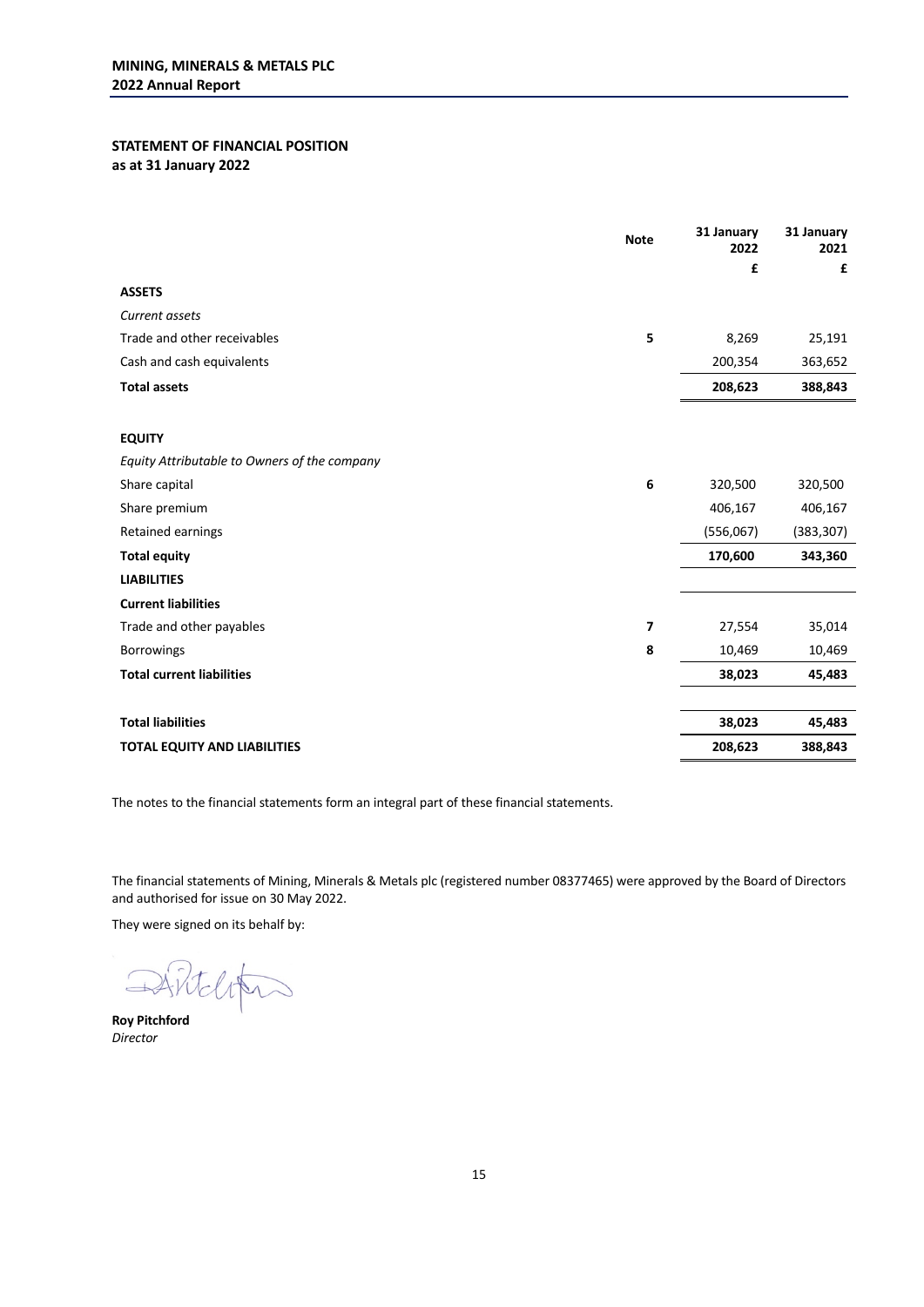# **STATEMENT OF FINANCIAL POSITION as at 31 January 2022**

|                                              | <b>Note</b> | 31 January<br>2022 | 31 January<br>2021 |
|----------------------------------------------|-------------|--------------------|--------------------|
|                                              |             | £                  | £                  |
| <b>ASSETS</b>                                |             |                    |                    |
| Current assets                               |             |                    |                    |
| Trade and other receivables                  | 5           | 8,269              | 25,191             |
| Cash and cash equivalents                    |             | 200,354            | 363,652            |
| <b>Total assets</b>                          |             | 208,623            | 388,843            |
| <b>EQUITY</b>                                |             |                    |                    |
| Equity Attributable to Owners of the company |             |                    |                    |
| Share capital                                | 6           | 320,500            | 320,500            |
| Share premium                                |             | 406,167            | 406,167            |
| Retained earnings                            |             | (556,067)          | (383, 307)         |
| <b>Total equity</b>                          |             | 170,600            | 343,360            |
| <b>LIABILITIES</b>                           |             |                    |                    |
| <b>Current liabilities</b>                   |             |                    |                    |
| Trade and other payables                     | 7           | 27,554             | 35,014             |
| Borrowings                                   | 8           | 10,469             | 10,469             |
| <b>Total current liabilities</b>             |             | 38,023             | 45,483             |
| <b>Total liabilities</b>                     |             | 38,023             | 45,483             |
| <b>TOTAL EQUITY AND LIABILITIES</b>          |             | 208,623            | 388,843            |

The notes to the financial statements form an integral part of these financial statements.

The financial statements of Mining, Minerals & Metals plc (registered number 08377465) were approved by the Board of Directors and authorised for issue on 30 May 2022.

They were signed on its behalf by:

Roy Pitchford

*Director*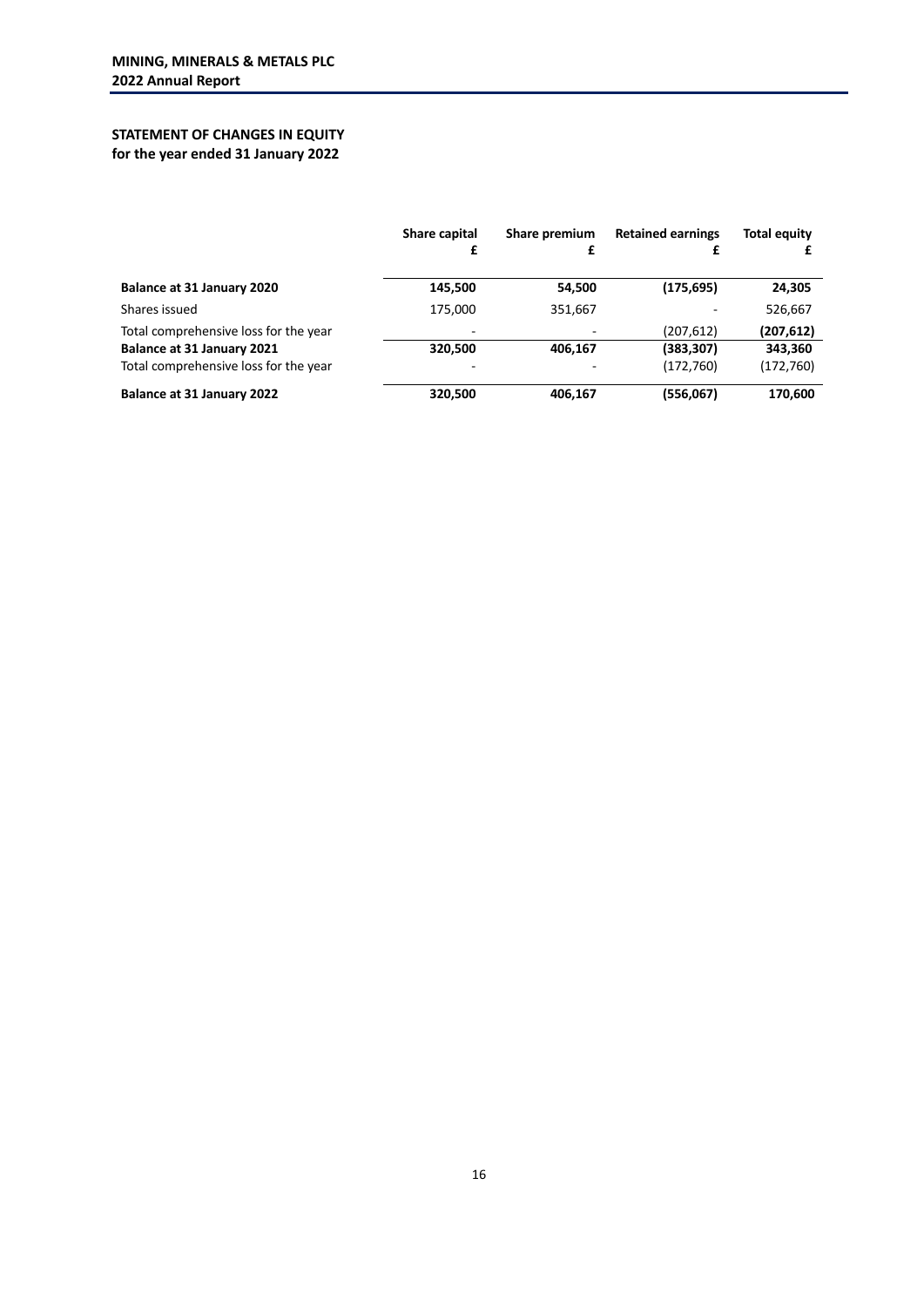# **STATEMENT OF CHANGES IN EQUITY for the year ended 31 January 2022**

|                                       | Share capital | Share premium | <b>Retained earnings</b> | Total equity |
|---------------------------------------|---------------|---------------|--------------------------|--------------|
| Balance at 31 January 2020            | 145,500       | 54,500        | (175, 695)               | 24,305       |
| Shares issued                         | 175.000       | 351,667       |                          | 526,667      |
| Total comprehensive loss for the year |               | ۰             | (207,612)                | (207, 612)   |
| Balance at 31 January 2021            | 320,500       | 406,167       | (383, 307)               | 343,360      |
| Total comprehensive loss for the year |               |               | (172, 760)               | (172, 760)   |
| Balance at 31 January 2022            | 320.500       | 406,167       | (556,067)                | 170.600      |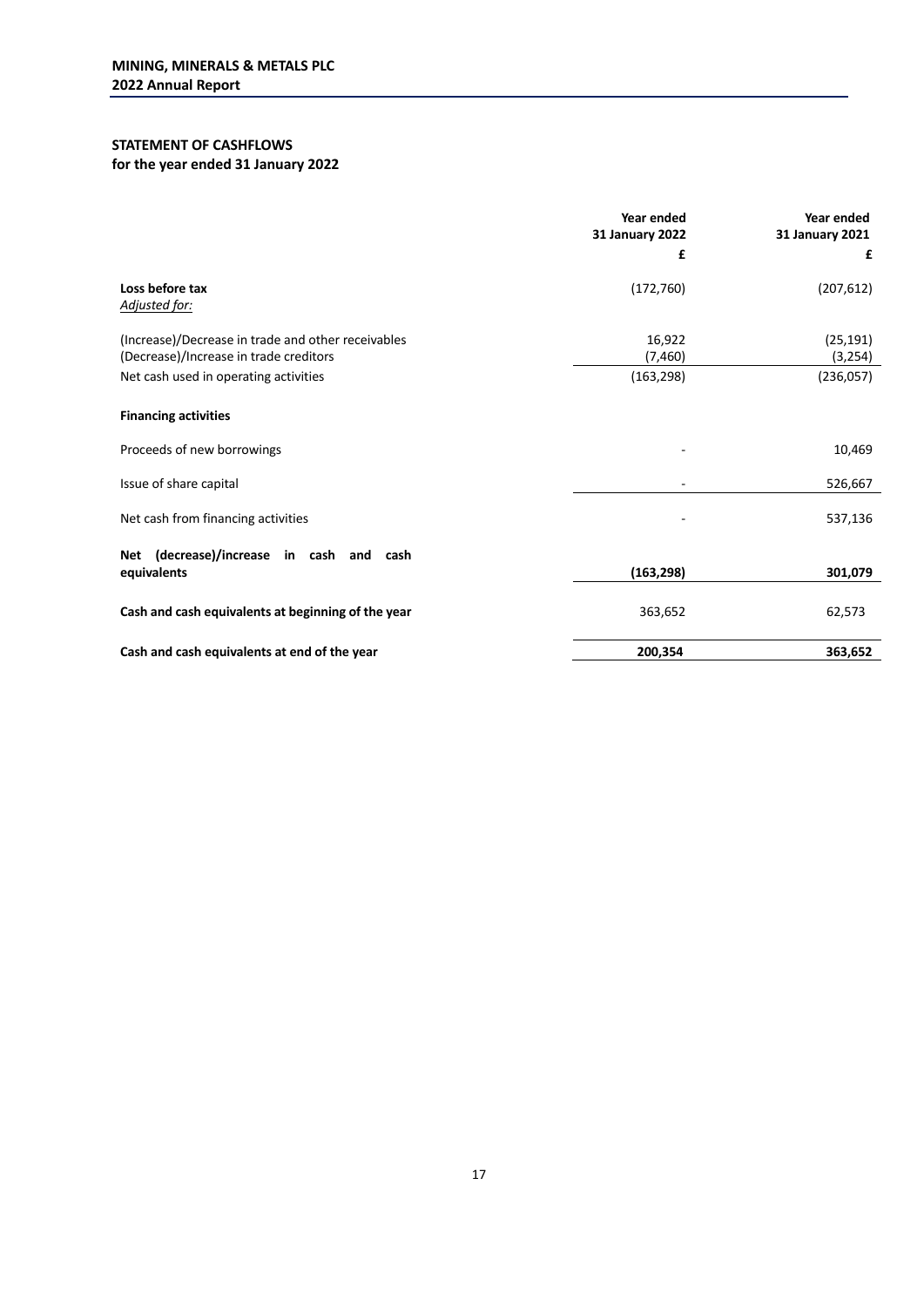# **STATEMENT OF CASHFLOWS**

# **for the year ended 31 January 2022**

|                                                                                              | Year ended<br><b>31 January 2022</b> | Year ended<br>31 January 2021 |
|----------------------------------------------------------------------------------------------|--------------------------------------|-------------------------------|
|                                                                                              | £                                    | £                             |
| Loss before tax<br>Adjusted for:                                                             | (172, 760)                           | (207, 612)                    |
| (Increase)/Decrease in trade and other receivables<br>(Decrease)/Increase in trade creditors | 16,922<br>(7,460)                    | (25, 191)<br>(3, 254)         |
| Net cash used in operating activities                                                        | (163, 298)                           | (236,057)                     |
| <b>Financing activities</b>                                                                  |                                      |                               |
| Proceeds of new borrowings                                                                   |                                      | 10,469                        |
| Issue of share capital                                                                       |                                      | 526,667                       |
| Net cash from financing activities                                                           |                                      | 537,136                       |
| Net (decrease)/increase in cash and cash<br>equivalents                                      | (163, 298)                           | 301,079                       |
| Cash and cash equivalents at beginning of the year                                           | 363,652                              | 62,573                        |
| Cash and cash equivalents at end of the year                                                 | 200,354                              | 363,652                       |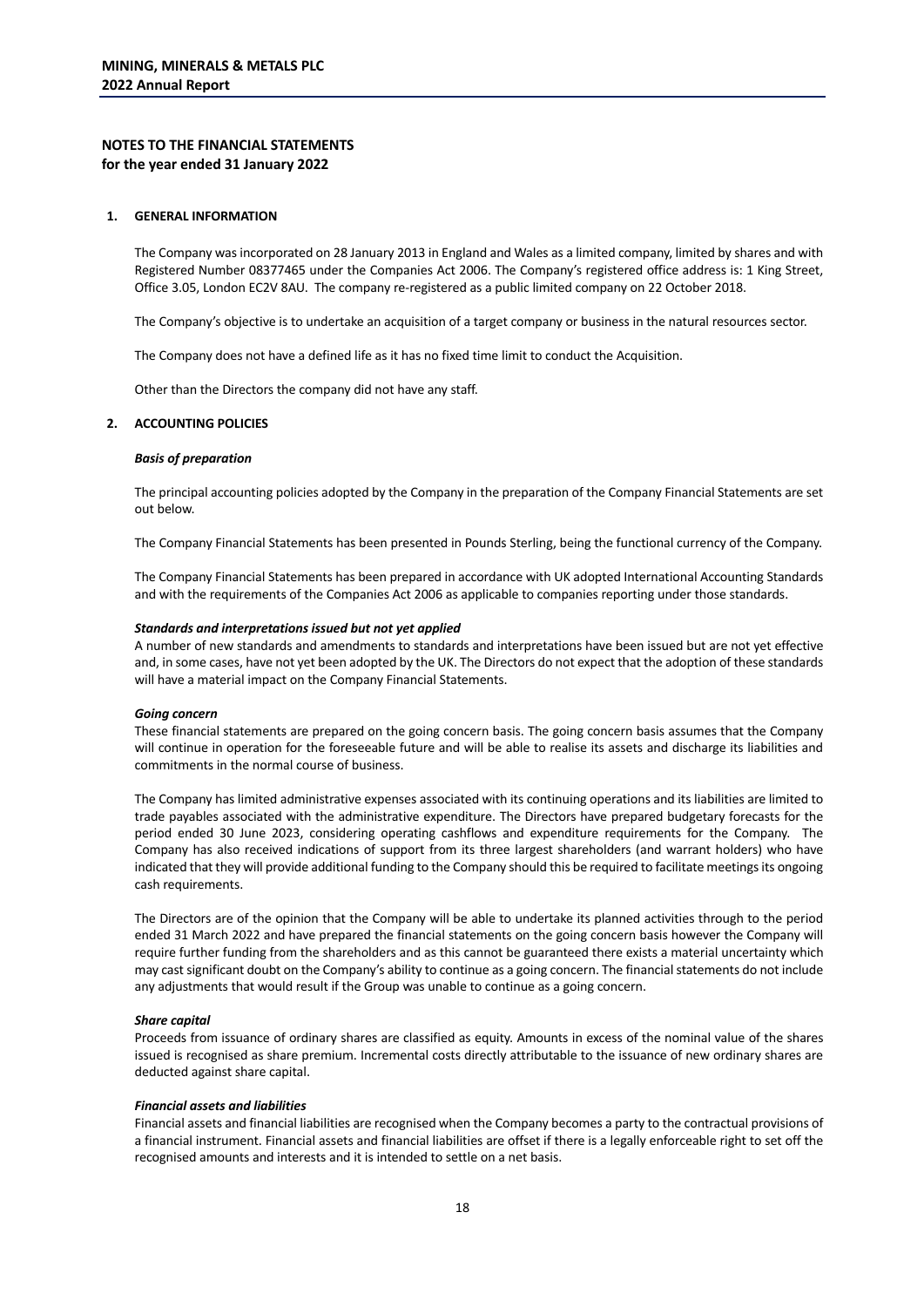# **NOTES TO THE FINANCIAL STATEMENTS for the year ended 31 January 2022**

### **1. GENERAL INFORMATION**

The Company was incorporated on 28 January 2013 in England and Wales as a limited company, limited by shares and with Registered Number 08377465 under the Companies Act 2006. The Company's registered office address is: 1 King Street, Office 3.05, London EC2V 8AU. The company re-registered as a public limited company on 22 October 2018.

The Company's objective is to undertake an acquisition of a target company or business in the natural resources sector.

The Company does not have a defined life as it has no fixed time limit to conduct the Acquisition.

Other than the Directors the company did not have any staff.

#### **2. ACCOUNTING POLICIES**

#### *Basis of preparation*

The principal accounting policies adopted by the Company in the preparation of the Company Financial Statements are set out below.

The Company Financial Statements has been presented in Pounds Sterling, being the functional currency of the Company.

The Company Financial Statements has been prepared in accordance with UK adopted International Accounting Standards and with the requirements of the Companies Act 2006 as applicable to companies reporting under those standards.

#### *Standards and interpretations issued but not yet applied*

A number of new standards and amendments to standards and interpretations have been issued but are not yet effective and, in some cases, have not yet been adopted by the UK. The Directors do not expect that the adoption of these standards will have a material impact on the Company Financial Statements.

#### *Going concern*

These financial statements are prepared on the going concern basis. The going concern basis assumes that the Company will continue in operation for the foreseeable future and will be able to realise its assets and discharge its liabilities and commitments in the normal course of business.

The Company has limited administrative expenses associated with its continuing operations and its liabilities are limited to trade payables associated with the administrative expenditure. The Directors have prepared budgetary forecasts for the period ended 30 June 2023, considering operating cashflows and expenditure requirements for the Company. The Company has also received indications of support from its three largest shareholders (and warrant holders) who have indicated that they will provide additional funding to the Company should this be required to facilitate meetings its ongoing cash requirements.

The Directors are of the opinion that the Company will be able to undertake its planned activities through to the period ended 31 March 2022 and have prepared the financial statements on the going concern basis however the Company will require further funding from the shareholders and as this cannot be guaranteed there exists a material uncertainty which may cast significant doubt on the Company's ability to continue as a going concern. The financial statements do not include any adjustments that would result if the Group was unable to continue as a going concern.

#### *Share capital*

Proceeds from issuance of ordinary shares are classified as equity. Amounts in excess of the nominal value of the shares issued is recognised as share premium. Incremental costs directly attributable to the issuance of new ordinary shares are deducted against share capital.

#### *Financial assets and liabilities*

Financial assets and financial liabilities are recognised when the Company becomes a party to the contractual provisions of a financial instrument. Financial assets and financial liabilities are offset if there is a legally enforceable right to set off the recognised amounts and interests and it is intended to settle on a net basis.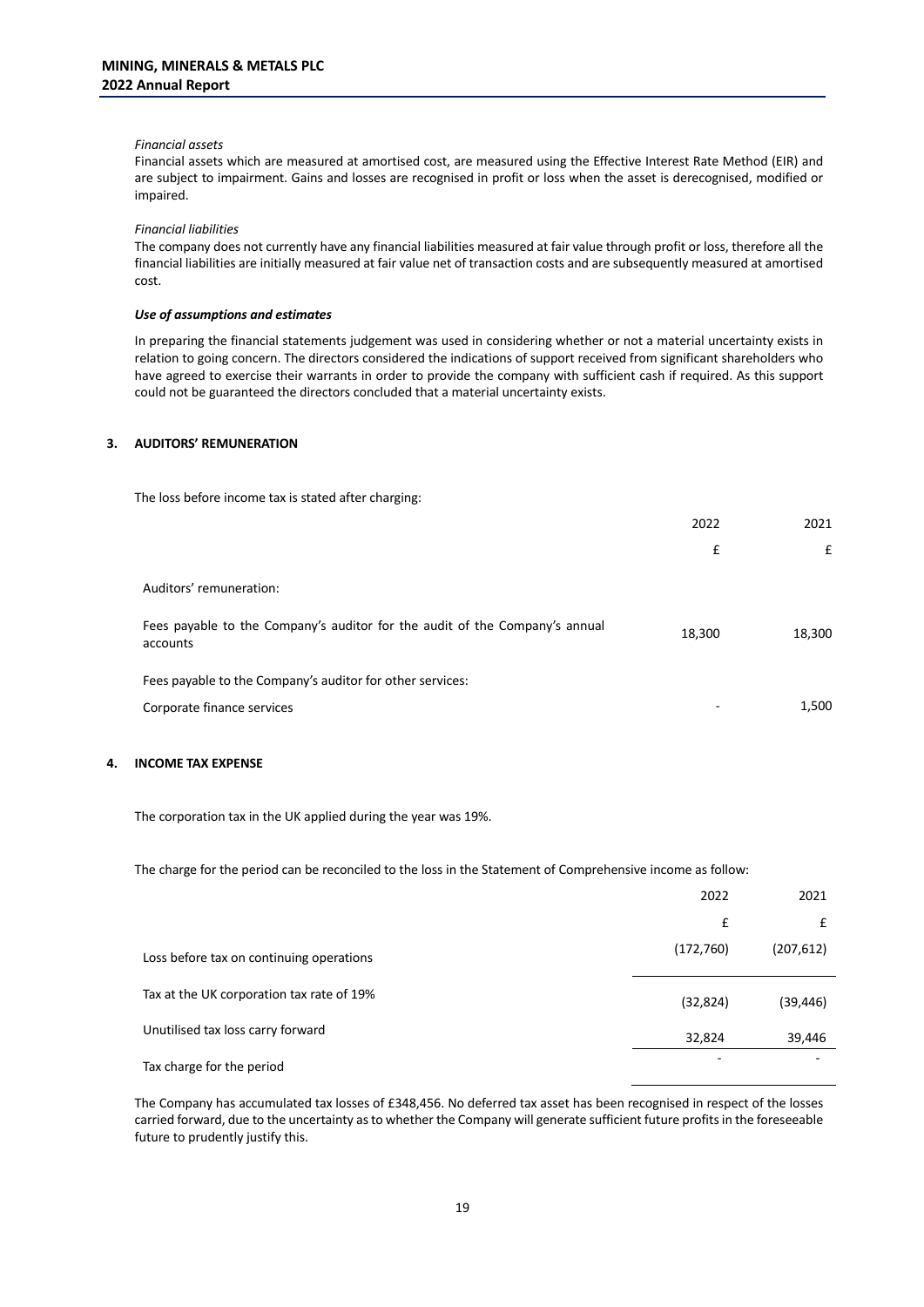#### *Financial assets*

Financial assets which are measured at amortised cost, are measured using the Effective Interest Rate Method (EIR) and are subject to impairment. Gains and losses are recognised in profit or loss when the asset is derecognised, modified or impaired.

#### *Financial liabilities*

The company does not currently have any financial liabilities measured at fair value through profit or loss, therefore all the financial liabilities are initially measured at fair value net of transaction costs and are subsequently measured at amortised cost.

#### *Use of assumptions and estimates*

In preparing the financial statements judgement was used in considering whether or not a material uncertainty exists in relation to going concern. The directors considered the indications of support received from significant shareholders who have agreed to exercise their warrants in order to provide the company with sufficient cash if required. As this support could not be guaranteed the directors concluded that a material uncertainty exists.

# **3. AUDITORS' REMUNERATION**

The loss before income tax is stated after charging:

|                                                                                         | 2022   | 2021   |
|-----------------------------------------------------------------------------------------|--------|--------|
|                                                                                         | £      | £      |
| Auditors' remuneration:                                                                 |        |        |
| Fees payable to the Company's auditor for the audit of the Company's annual<br>accounts | 18,300 | 18,300 |
| Fees payable to the Company's auditor for other services:                               |        |        |
| Corporate finance services                                                              |        | 1,500  |

# **4. INCOME TAX EXPENSE**

The corporation tax in the UK applied during the year was 19%.

The charge for the period can be reconciled to the loss in the Statement of Comprehensive income as follow:

|                                           | 2022       | 2021       |
|-------------------------------------------|------------|------------|
|                                           | £          |            |
| Loss before tax on continuing operations  | (172, 760) | (207, 612) |
| Tax at the UK corporation tax rate of 19% | (32, 824)  | (39, 446)  |
| Unutilised tax loss carry forward         | 32,824     | 39,446     |
| Tax charge for the period                 | -          |            |

The Company has accumulated tax losses of £348,456. No deferred tax asset has been recognised in respect of the losses carried forward, due to the uncertainty as to whether the Company will generate sufficient future profits in the foreseeable future to prudently justify this.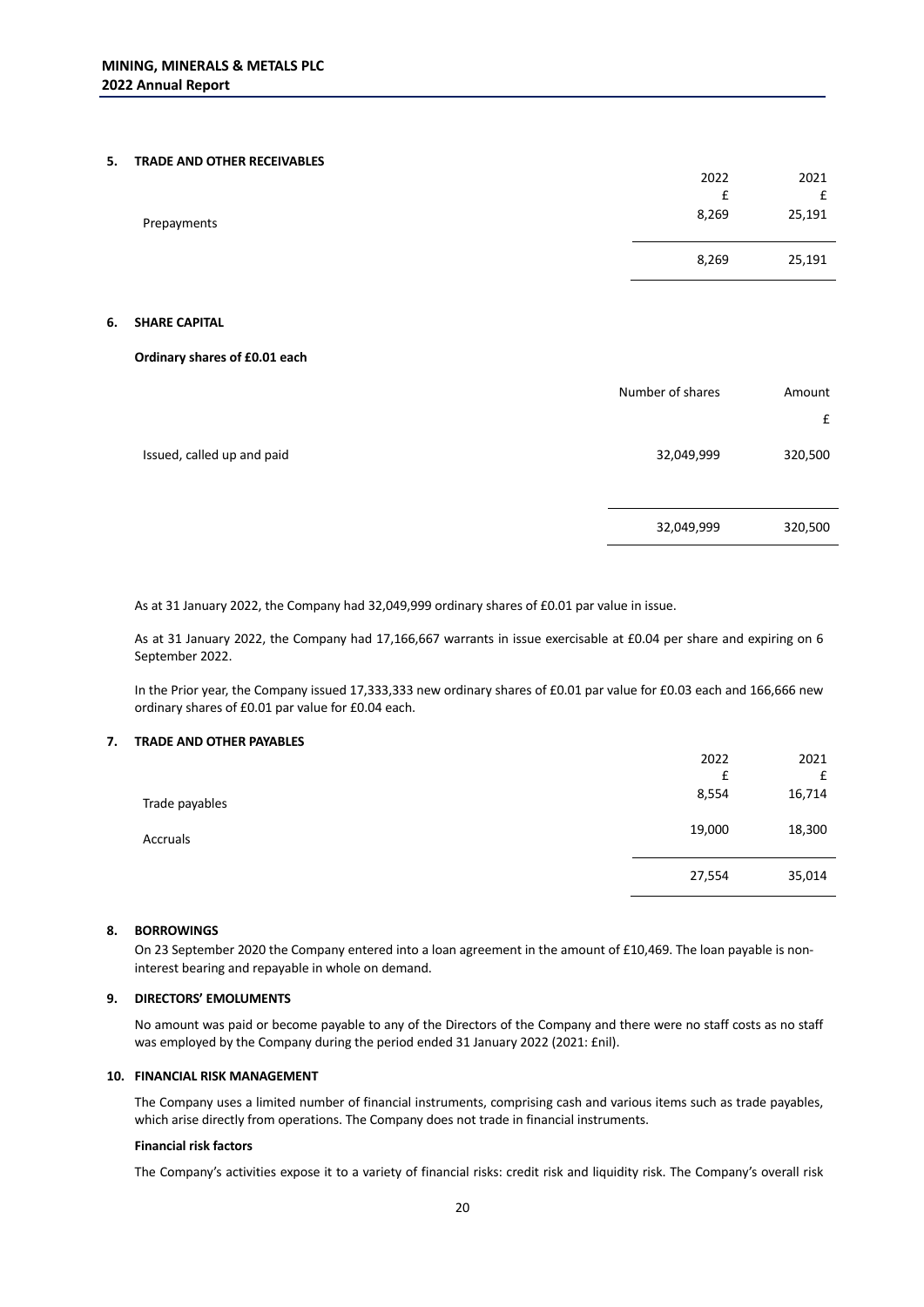# **5. TRADE AND OTHER RECEIVABLES**

|             | 2022  | 2021   |
|-------------|-------|--------|
|             |       | £      |
| Prepayments | 8,269 | 25,191 |
|             |       |        |
|             | 8,269 | 25,191 |

#### **6. SHARE CAPITAL**

### **Ordinary shares of £0.01 each**

|                            | Number of shares | Amount  |
|----------------------------|------------------|---------|
|                            |                  | £       |
| Issued, called up and paid | 32,049,999       | 320,500 |
|                            | 32,049,999       | 320,500 |
|                            |                  |         |

As at 31 January 2022, the Company had 32,049,999 ordinary shares of £0.01 par value in issue.

As at 31 January 2022, the Company had 17,166,667 warrants in issue exercisable at £0.04 per share and expiring on 6 September 2022.

In the Prior year, the Company issued 17,333,333 new ordinary shares of £0.01 par value for £0.03 each and 166,666 new ordinary shares of £0.01 par value for £0.04 each.

# **7. TRADE AND OTHER PAYABLES**

|                | 2022   | 2021   |
|----------------|--------|--------|
|                | £      | £      |
| Trade payables | 8,554  | 16,714 |
| Accruals       | 19,000 | 18,300 |
|                | 27,554 | 35,014 |

#### **8. BORROWINGS**

On 23 September 2020 the Company entered into a loan agreement in the amount of £10,469. The loan payable is noninterest bearing and repayable in whole on demand.

# **9. DIRECTORS' EMOLUMENTS**

No amount was paid or become payable to any of the Directors of the Company and there were no staff costs as no staff was employed by the Company during the period ended 31 January 2022 (2021: £nil).

# **10. FINANCIAL RISK MANAGEMENT**

The Company uses a limited number of financial instruments, comprising cash and various items such as trade payables, which arise directly from operations. The Company does not trade in financial instruments.

#### **Financial risk factors**

The Company's activities expose it to a variety of financial risks: credit risk and liquidity risk. The Company's overall risk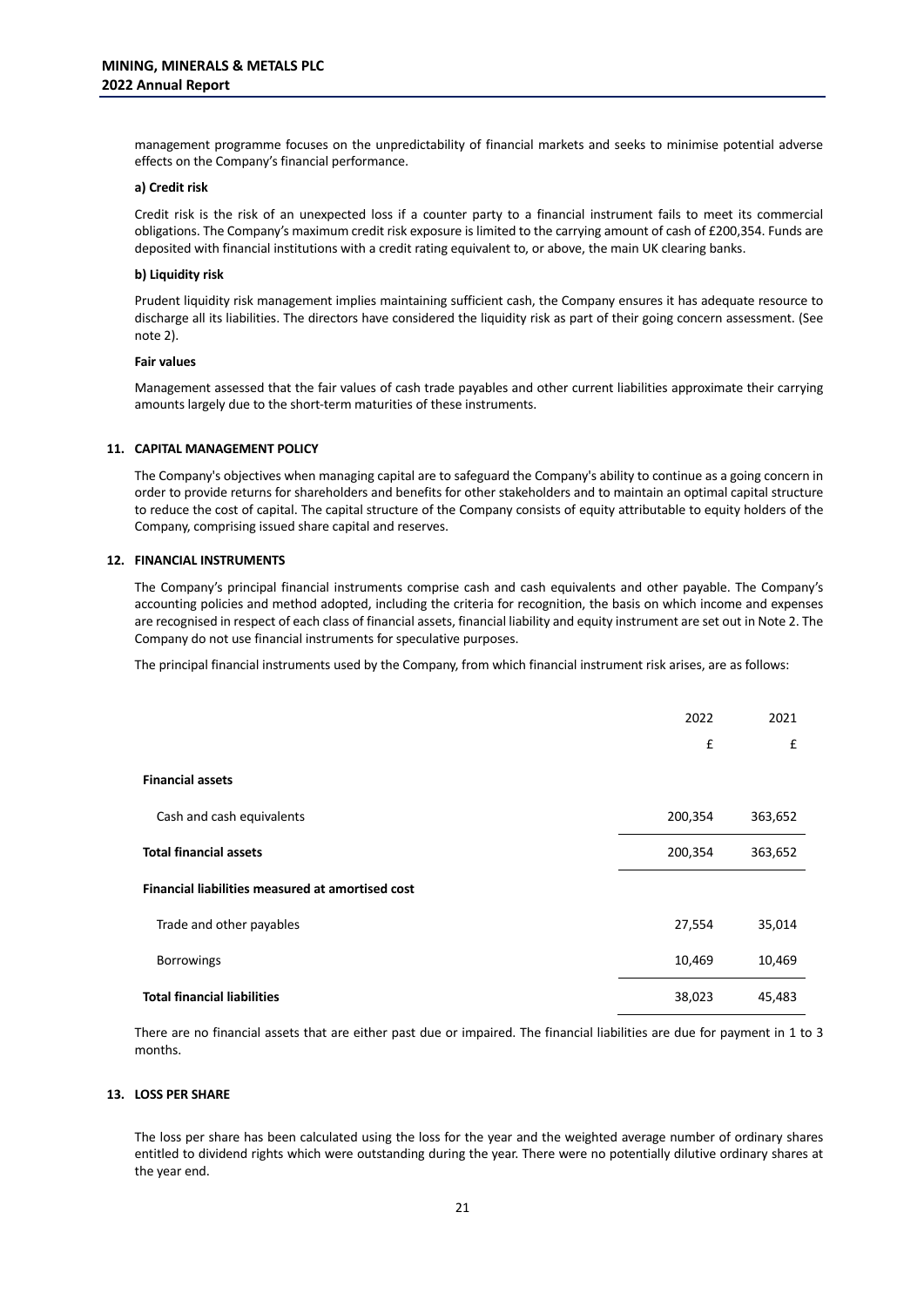management programme focuses on the unpredictability of financial markets and seeks to minimise potential adverse effects on the Company's financial performance.

#### **a) Credit risk**

Credit risk is the risk of an unexpected loss if a counter party to a financial instrument fails to meet its commercial obligations. The Company's maximum credit risk exposure is limited to the carrying amount of cash of £200,354. Funds are deposited with financial institutions with a credit rating equivalent to, or above, the main UK clearing banks.

#### **b) Liquidity risk**

Prudent liquidity risk management implies maintaining sufficient cash, the Company ensures it has adequate resource to discharge all its liabilities. The directors have considered the liquidity risk as part of their going concern assessment. (See note 2).

#### **Fair values**

Management assessed that the fair values of cash trade payables and other current liabilities approximate their carrying amounts largely due to the short-term maturities of these instruments.

### **11. CAPITAL MANAGEMENT POLICY**

The Company's objectives when managing capital are to safeguard the Company's ability to continue as a going concern in order to provide returns for shareholders and benefits for other stakeholders and to maintain an optimal capital structure to reduce the cost of capital. The capital structure of the Company consists of equity attributable to equity holders of the Company, comprising issued share capital and reserves.

#### **12. FINANCIAL INSTRUMENTS**

The Company's principal financial instruments comprise cash and cash equivalents and other payable. The Company's accounting policies and method adopted, including the criteria for recognition, the basis on which income and expenses are recognised in respect of each class of financial assets, financial liability and equity instrument are set out in Note 2. The Company do not use financial instruments for speculative purposes.

The principal financial instruments used by the Company, from which financial instrument risk arises, are as follows:

|                                                  | 2022    | 2021    |
|--------------------------------------------------|---------|---------|
|                                                  | £       | £       |
| <b>Financial assets</b>                          |         |         |
| Cash and cash equivalents                        | 200,354 | 363,652 |
| <b>Total financial assets</b>                    | 200,354 | 363,652 |
| Financial liabilities measured at amortised cost |         |         |
| Trade and other payables                         | 27,554  | 35,014  |
| <b>Borrowings</b>                                | 10,469  | 10,469  |
| <b>Total financial liabilities</b>               | 38,023  | 45,483  |

There are no financial assets that are either past due or impaired. The financial liabilities are due for payment in 1 to 3 months.

# **13. LOSS PER SHARE**

The loss per share has been calculated using the loss for the year and the weighted average number of ordinary shares entitled to dividend rights which were outstanding during the year. There were no potentially dilutive ordinary shares at the year end.